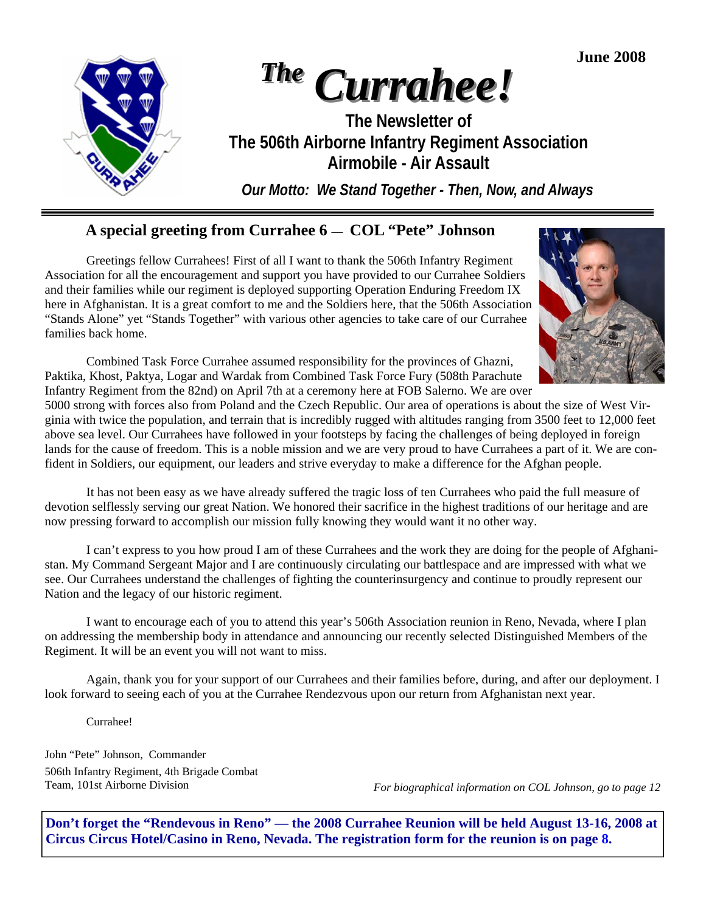**June 2008** 



## **A special greeting from Currahee 6** — **COL "Pete" Johnson**

 Greetings fellow Currahees! First of all I want to thank the 506th Infantry Regiment Association for all the encouragement and support you have provided to our Currahee Soldiers and their families while our regiment is deployed supporting Operation Enduring Freedom IX here in Afghanistan. It is a great comfort to me and the Soldiers here, that the 506th Association "Stands Alone" yet "Stands Together" with various other agencies to take care of our Currahee families back home.



 Combined Task Force Currahee assumed responsibility for the provinces of Ghazni, Paktika, Khost, Paktya, Logar and Wardak from Combined Task Force Fury (508th Parachute Infantry Regiment from the 82nd) on April 7th at a ceremony here at FOB Salerno. We are over

5000 strong with forces also from Poland and the Czech Republic. Our area of operations is about the size of West Virginia with twice the population, and terrain that is incredibly rugged with altitudes ranging from 3500 feet to 12,000 feet above sea level. Our Currahees have followed in your footsteps by facing the challenges of being deployed in foreign lands for the cause of freedom. This is a noble mission and we are very proud to have Currahees a part of it. We are confident in Soldiers, our equipment, our leaders and strive everyday to make a difference for the Afghan people.

 It has not been easy as we have already suffered the tragic loss of ten Currahees who paid the full measure of devotion selflessly serving our great Nation. We honored their sacrifice in the highest traditions of our heritage and are now pressing forward to accomplish our mission fully knowing they would want it no other way.

 I can't express to you how proud I am of these Currahees and the work they are doing for the people of Afghanistan. My Command Sergeant Major and I are continuously circulating our battlespace and are impressed with what we see. Our Currahees understand the challenges of fighting the counterinsurgency and continue to proudly represent our Nation and the legacy of our historic regiment.

 I want to encourage each of you to attend this year's 506th Association reunion in Reno, Nevada, where I plan on addressing the membership body in attendance and announcing our recently selected Distinguished Members of the Regiment. It will be an event you will not want to miss.

 Again, thank you for your support of our Currahees and their families before, during, and after our deployment. I look forward to seeing each of you at the Currahee Rendezvous upon our return from Afghanistan next year.

Currahee!

John "Pete" Johnson, Commander 506th Infantry Regiment, 4th Brigade Combat Team, 101st Airborne Division

*For biographical information on COL Johnson, go to page 12* 

**Don't forget the "Rendevous in Reno" — the 2008 Currahee Reunion will be held August 13-16, 2008 at Circus Circus Hotel/Casino in Reno, Nevada. The registration form for the reunion is on page 8.**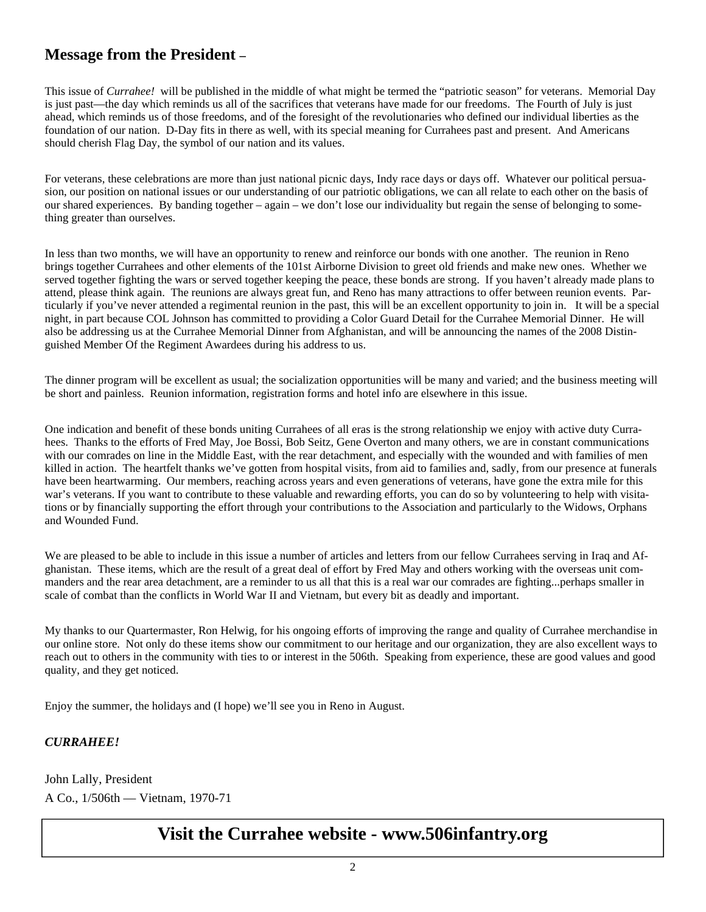## **Message from the President –**

This issue of *Currahee!* will be published in the middle of what might be termed the "patriotic season" for veterans. Memorial Day is just past—the day which reminds us all of the sacrifices that veterans have made for our freedoms. The Fourth of July is just ahead, which reminds us of those freedoms, and of the foresight of the revolutionaries who defined our individual liberties as the foundation of our nation. D-Day fits in there as well, with its special meaning for Currahees past and present. And Americans should cherish Flag Day, the symbol of our nation and its values.

For veterans, these celebrations are more than just national picnic days, Indy race days or days off. Whatever our political persuasion, our position on national issues or our understanding of our patriotic obligations, we can all relate to each other on the basis of our shared experiences. By banding together – again – we don't lose our individuality but regain the sense of belonging to something greater than ourselves.

In less than two months, we will have an opportunity to renew and reinforce our bonds with one another. The reunion in Reno brings together Currahees and other elements of the 101st Airborne Division to greet old friends and make new ones. Whether we served together fighting the wars or served together keeping the peace, these bonds are strong. If you haven't already made plans to attend, please think again. The reunions are always great fun, and Reno has many attractions to offer between reunion events. Particularly if you've never attended a regimental reunion in the past, this will be an excellent opportunity to join in. It will be a special night, in part because COL Johnson has committed to providing a Color Guard Detail for the Currahee Memorial Dinner. He will also be addressing us at the Currahee Memorial Dinner from Afghanistan, and will be announcing the names of the 2008 Distinguished Member Of the Regiment Awardees during his address to us.

The dinner program will be excellent as usual; the socialization opportunities will be many and varied; and the business meeting will be short and painless. Reunion information, registration forms and hotel info are elsewhere in this issue.

One indication and benefit of these bonds uniting Currahees of all eras is the strong relationship we enjoy with active duty Currahees. Thanks to the efforts of Fred May, Joe Bossi, Bob Seitz, Gene Overton and many others, we are in constant communications with our comrades on line in the Middle East, with the rear detachment, and especially with the wounded and with families of men killed in action. The heartfelt thanks we've gotten from hospital visits, from aid to families and, sadly, from our presence at funerals have been heartwarming. Our members, reaching across years and even generations of veterans, have gone the extra mile for this war's veterans. If you want to contribute to these valuable and rewarding efforts, you can do so by volunteering to help with visitations or by financially supporting the effort through your contributions to the Association and particularly to the Widows, Orphans and Wounded Fund.

We are pleased to be able to include in this issue a number of articles and letters from our fellow Currahees serving in Iraq and Afghanistan. These items, which are the result of a great deal of effort by Fred May and others working with the overseas unit commanders and the rear area detachment, are a reminder to us all that this is a real war our comrades are fighting...perhaps smaller in scale of combat than the conflicts in World War II and Vietnam, but every bit as deadly and important.

My thanks to our Quartermaster, Ron Helwig, for his ongoing efforts of improving the range and quality of Currahee merchandise in our online store. Not only do these items show our commitment to our heritage and our organization, they are also excellent ways to reach out to others in the community with ties to or interest in the 506th. Speaking from experience, these are good values and good quality, and they get noticed.

Enjoy the summer, the holidays and (I hope) we'll see you in Reno in August.

#### *CURRAHEE!*

John Lally, President A Co., 1/506th — Vietnam, 1970-71

# **Visit the Currahee website - www.506infantry.org**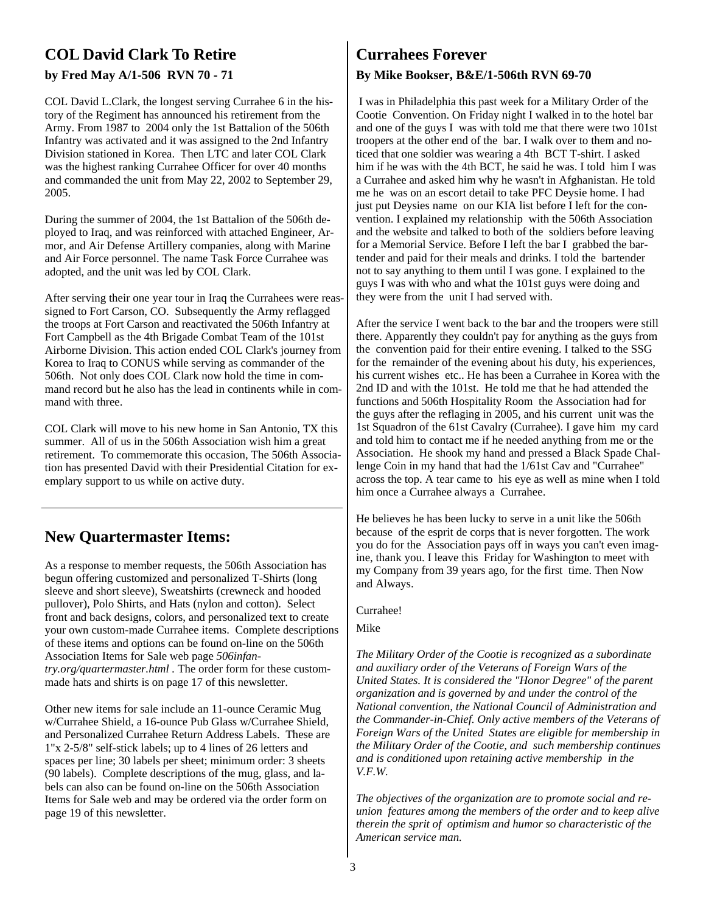## **COL David Clark To Retire**

#### **by Fred May A/1-506 RVN 70 - 71**

COL David L.Clark, the longest serving Currahee 6 in the history of the Regiment has announced his retirement from the Army. From 1987 to 2004 only the 1st Battalion of the 506th Infantry was activated and it was assigned to the 2nd Infantry Division stationed in Korea. Then LTC and later COL Clark was the highest ranking Currahee Officer for over 40 months and commanded the unit from May 22, 2002 to September 29, 2005.

During the summer of 2004, the 1st Battalion of the 506th deployed to Iraq, and was reinforced with attached Engineer, Armor, and Air Defense Artillery companies, along with Marine and Air Force personnel. The name Task Force Currahee was adopted, and the unit was led by COL Clark.

After serving their one year tour in Iraq the Currahees were reassigned to Fort Carson, CO. Subsequently the Army reflagged the troops at Fort Carson and reactivated the 506th Infantry at Fort Campbell as the 4th Brigade Combat Team of the 101st Airborne Division. This action ended COL Clark's journey from Korea to Iraq to CONUS while serving as commander of the 506th. Not only does COL Clark now hold the time in command record but he also has the lead in continents while in command with three.

COL Clark will move to his new home in San Antonio, TX this summer. All of us in the 506th Association wish him a great retirement. To commemorate this occasion, The 506th Association has presented David with their Presidential Citation for exemplary support to us while on active duty.

## **New Quartermaster Items:**

As a response to member requests, the 506th Association has begun offering customized and personalized T-Shirts (long sleeve and short sleeve), Sweatshirts (crewneck and hooded pullover), Polo Shirts, and Hats (nylon and cotton). Select front and back designs, colors, and personalized text to create your own custom-made Currahee items. Complete descriptions of these items and options can be found on-line on the 506th Association Items for Sale web page *506infantry.org/quartermaster.html .* The order form for these custommade hats and shirts is on page 17 of this newsletter.

Other new items for sale include an 11-ounce Ceramic Mug w/Currahee Shield, a 16-ounce Pub Glass w/Currahee Shield, and Personalized Currahee Return Address Labels. These are 1"x 2-5/8" self-stick labels; up to 4 lines of 26 letters and spaces per line; 30 labels per sheet; minimum order: 3 sheets (90 labels). Complete descriptions of the mug, glass, and labels can also can be found on-line on the 506th Association Items for Sale web and may be ordered via the order form on page 19 of this newsletter.

## **Currahees Forever**

#### **By Mike Bookser, B&E/1-506th RVN 69-70**

 I was in Philadelphia this past week for a Military Order of the Cootie Convention. On Friday night I walked in to the hotel bar and one of the guys I was with told me that there were two 101st troopers at the other end of the bar. I walk over to them and noticed that one soldier was wearing a 4th BCT T-shirt. I asked him if he was with the 4th BCT, he said he was. I told him I was a Currahee and asked him why he wasn't in Afghanistan. He told me he was on an escort detail to take PFC Deysie home. I had just put Deysies name on our KIA list before I left for the convention. I explained my relationship with the 506th Association and the website and talked to both of the soldiers before leaving for a Memorial Service. Before I left the bar I grabbed the bartender and paid for their meals and drinks. I told the bartender not to say anything to them until I was gone. I explained to the guys I was with who and what the 101st guys were doing and they were from the unit I had served with.

After the service I went back to the bar and the troopers were still there. Apparently they couldn't pay for anything as the guys from the convention paid for their entire evening. I talked to the SSG for the remainder of the evening about his duty, his experiences, his current wishes etc.. He has been a Currahee in Korea with the 2nd ID and with the 101st. He told me that he had attended the functions and 506th Hospitality Room the Association had for the guys after the reflaging in 2005, and his current unit was the 1st Squadron of the 61st Cavalry (Currahee). I gave him my card and told him to contact me if he needed anything from me or the Association. He shook my hand and pressed a Black Spade Challenge Coin in my hand that had the 1/61st Cav and "Currahee" across the top. A tear came to his eye as well as mine when I told him once a Currahee always a Currahee.

He believes he has been lucky to serve in a unit like the 506th because of the esprit de corps that is never forgotten. The work you do for the Association pays off in ways you can't even imagine, thank you. I leave this Friday for Washington to meet with my Company from 39 years ago, for the first time. Then Now and Always.

#### Currahee!

#### Mike

*The Military Order of the Cootie is recognized as a subordinate and auxiliary order of the Veterans of Foreign Wars of the United States. It is considered the "Honor Degree" of the parent organization and is governed by and under the control of the National convention, the National Council of Administration and the Commander-in-Chief. Only active members of the Veterans of Foreign Wars of the United States are eligible for membership in the Military Order of the Cootie, and such membership continues and is conditioned upon retaining active membership in the V.F.W.* 

*The objectives of the organization are to promote social and reunion features among the members of the order and to keep alive therein the sprit of optimism and humor so characteristic of the American service man.*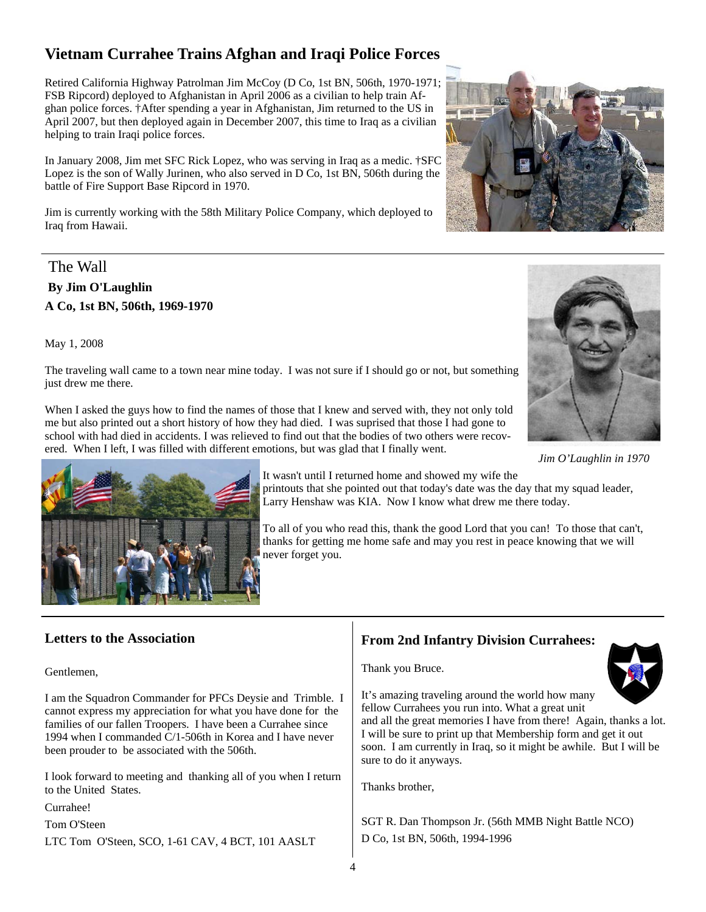## **Vietnam Currahee Trains Afghan and Iraqi Police Forces**

Retired California Highway Patrolman Jim McCoy (D Co, 1st BN, 506th, 1970-1971; FSB Ripcord) deployed to Afghanistan in April 2006 as a civilian to help train Afghan police forces. †After spending a year in Afghanistan, Jim returned to the US in April 2007, but then deployed again in December 2007, this time to Iraq as a civilian helping to train Iraqi police forces.

In January 2008, Jim met SFC Rick Lopez, who was serving in Iraq as a medic. †SFC Lopez is the son of Wally Jurinen, who also served in D Co, 1st BN, 506th during the battle of Fire Support Base Ripcord in 1970.

Jim is currently working with the 58th Military Police Company, which deployed to Iraq from Hawaii.

#### The Wall

 **By Jim O'Laughlin A Co, 1st BN, 506th, 1969-1970** 

May 1, 2008

The traveling wall came to a town near mine today. I was not sure if I should go or not, but something just drew me there.

When I asked the guys how to find the names of those that I knew and served with, they not only told me but also printed out a short history of how they had died. I was suprised that those I had gone to school with had died in accidents. I was relieved to find out that the bodies of two others were recovered. When I left, I was filled with different emotions, but was glad that I finally went.



*Jim O'Laughlin in 1970* 



It wasn't until I returned home and showed my wife the printouts that she pointed out that today's date was the day that my squad leader, Larry Henshaw was KIA. Now I know what drew me there today.

To all of you who read this, thank the good Lord that you can! To those that can't, thanks for getting me home safe and may you rest in peace knowing that we will never forget you.

#### **Letters to the Association**

Gentlemen,

I am the Squadron Commander for PFCs Deysie and Trimble. I cannot express my appreciation for what you have done for the families of our fallen Troopers. I have been a Currahee since 1994 when I commanded C/1-506th in Korea and I have never been prouder to be associated with the 506th.

I look forward to meeting and thanking all of you when I return to the United States.

Currahee!

Tom O'Steen

LTC Tom O'Steen, SCO, 1-61 CAV, 4 BCT, 101 AASLT

## **From 2nd Infantry Division Currahees:**

Thank you Bruce.



It's amazing traveling around the world how many fellow Currahees you run into. What a great unit

and all the great memories I have from there! Again, thanks a lot. I will be sure to print up that Membership form and get it out soon. I am currently in Iraq, so it might be awhile. But I will be sure to do it anyways.

Thanks brother,

SGT R. Dan Thompson Jr. (56th MMB Night Battle NCO) D Co, 1st BN, 506th, 1994-1996

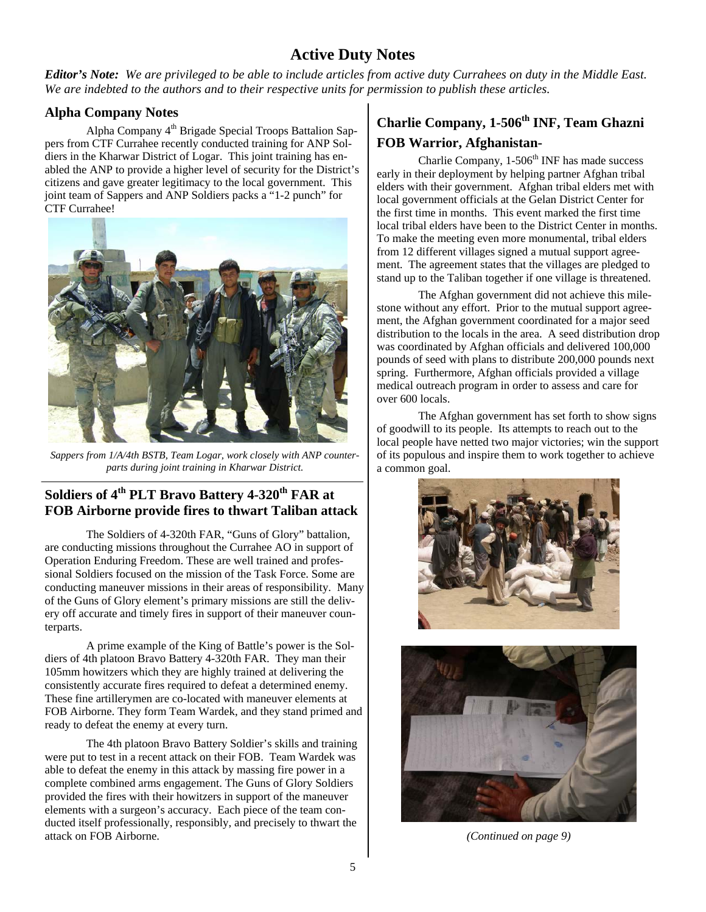## **Active Duty Notes**

*Editor's Note: We are privileged to be able to include articles from active duty Currahees on duty in the Middle East. We are indebted to the authors and to their respective units for permission to publish these articles.*

#### **Alpha Company Notes**

Alpha Company  $4<sup>th</sup>$  Brigade Special Troops Battalion Sappers from CTF Currahee recently conducted training for ANP Soldiers in the Kharwar District of Logar. This joint training has enabled the ANP to provide a higher level of security for the District's citizens and gave greater legitimacy to the local government. This joint team of Sappers and ANP Soldiers packs a "1-2 punch" for CTF Currahee!



*Sappers from 1/A/4th BSTB, Team Logar, work closely with ANP counterparts during joint training in Kharwar District.* 

## Soldiers of 4<sup>th</sup> PLT Bravo Battery 4-320<sup>th</sup> FAR at **FOB Airborne provide fires to thwart Taliban attack**

 The Soldiers of 4-320th FAR, "Guns of Glory" battalion, are conducting missions throughout the Currahee AO in support of Operation Enduring Freedom. These are well trained and professional Soldiers focused on the mission of the Task Force. Some are conducting maneuver missions in their areas of responsibility. Many of the Guns of Glory element's primary missions are still the delivery off accurate and timely fires in support of their maneuver counterparts.

 A prime example of the King of Battle's power is the Soldiers of 4th platoon Bravo Battery 4-320th FAR. They man their 105mm howitzers which they are highly trained at delivering the consistently accurate fires required to defeat a determined enemy. These fine artillerymen are co-located with maneuver elements at FOB Airborne. They form Team Wardek, and they stand primed and ready to defeat the enemy at every turn.

 The 4th platoon Bravo Battery Soldier's skills and training were put to test in a recent attack on their FOB. Team Wardek was able to defeat the enemy in this attack by massing fire power in a complete combined arms engagement. The Guns of Glory Soldiers provided the fires with their howitzers in support of the maneuver elements with a surgeon's accuracy. Each piece of the team conducted itself professionally, responsibly, and precisely to thwart the attack on FOB Airborne.

## **Charlie Company, 1-506th INF, Team Ghazni FOB Warrior, Afghanistan-**

Charlie Company,  $1-506<sup>th</sup>$  INF has made success early in their deployment by helping partner Afghan tribal elders with their government. Afghan tribal elders met with local government officials at the Gelan District Center for the first time in months. This event marked the first time local tribal elders have been to the District Center in months. To make the meeting even more monumental, tribal elders from 12 different villages signed a mutual support agreement. The agreement states that the villages are pledged to stand up to the Taliban together if one village is threatened.

The Afghan government did not achieve this milestone without any effort. Prior to the mutual support agreement, the Afghan government coordinated for a major seed distribution to the locals in the area. A seed distribution drop was coordinated by Afghan officials and delivered 100,000 pounds of seed with plans to distribute 200,000 pounds next spring. Furthermore, Afghan officials provided a village medical outreach program in order to assess and care for over 600 locals.

The Afghan government has set forth to show signs of goodwill to its people. Its attempts to reach out to the local people have netted two major victories; win the support of its populous and inspire them to work together to achieve a common goal.





*(Continued on page 9)*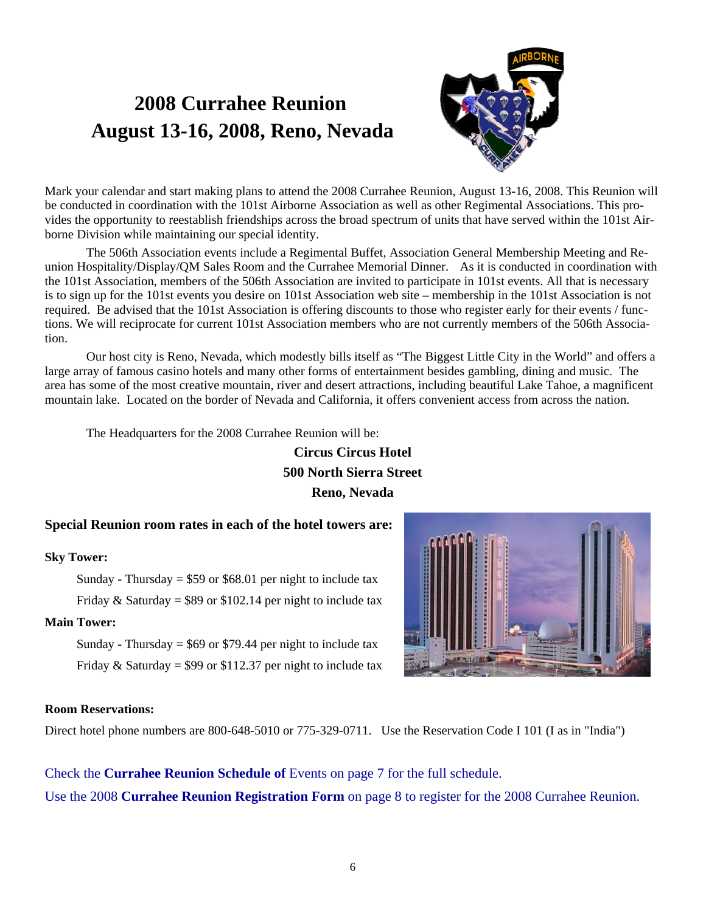# **2008 Currahee Reunion August 13-16, 2008, Reno, Nevada**



Mark your calendar and start making plans to attend the 2008 Currahee Reunion, August 13-16, 2008. This Reunion will be conducted in coordination with the 101st Airborne Association as well as other Regimental Associations. This provides the opportunity to reestablish friendships across the broad spectrum of units that have served within the 101st Airborne Division while maintaining our special identity.

 The 506th Association events include a Regimental Buffet, Association General Membership Meeting and Reunion Hospitality/Display/QM Sales Room and the Currahee Memorial Dinner. As it is conducted in coordination with the 101st Association, members of the 506th Association are invited to participate in 101st events. All that is necessary is to sign up for the 101st events you desire on 101st Association web site – membership in the 101st Association is not required. Be advised that the 101st Association is offering discounts to those who register early for their events / functions. We will reciprocate for current 101st Association members who are not currently members of the 506th Association.

 Our host city is Reno, Nevada, which modestly bills itself as "The Biggest Little City in the World" and offers a large array of famous casino hotels and many other forms of entertainment besides gambling, dining and music. The area has some of the most creative mountain, river and desert attractions, including beautiful Lake Tahoe, a magnificent mountain lake. Located on the border of Nevada and California, it offers convenient access from across the nation.

The Headquarters for the 2008 Currahee Reunion will be:

## **Circus Circus Hotel 500 North Sierra Street Reno, Nevada**

#### **Special Reunion room rates in each of the hotel towers are:**

#### **Sky Tower:**

Sunday - Thursday =  $$59$  or  $$68.01$  per night to include tax Friday & Saturday =  $$89$  or  $$102.14$  per night to include tax

#### **Main Tower:**

Sunday - Thursday =  $$69$  or \$79.44 per night to include tax Friday & Saturday = \$99 or \$112.37 per night to include tax



#### **Room Reservations:**

Direct hotel phone numbers are 800-648-5010 or 775-329-0711. Use the Reservation Code I 101 (I as in "India")

Check the **Currahee Reunion Schedule of** Events on page 7 for the full schedule. Use the 2008 **Currahee Reunion Registration Form** on page 8 to register for the 2008 Currahee Reunion.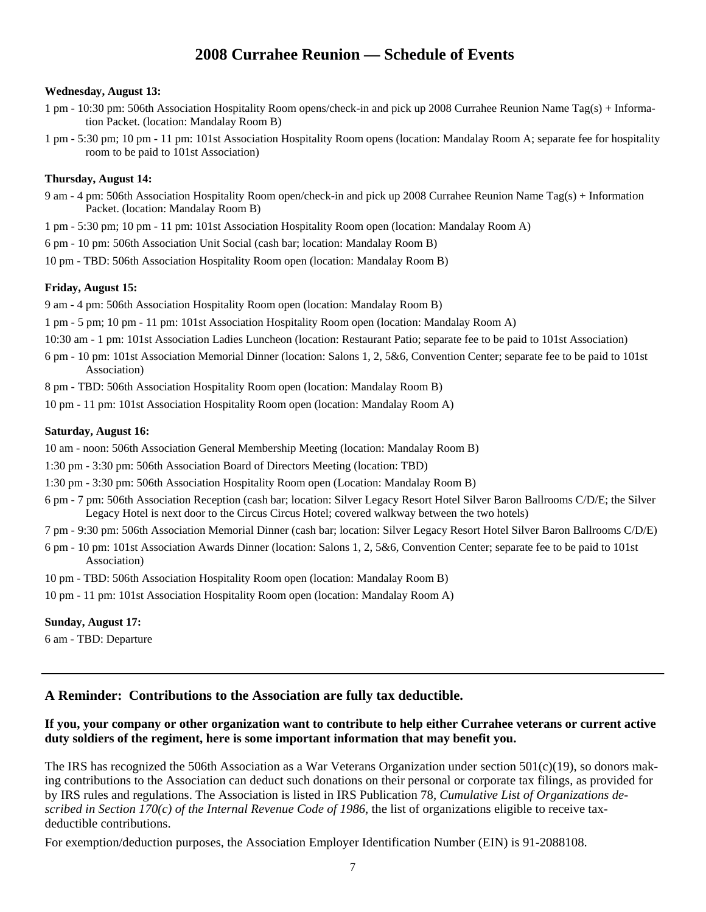## **2008 Currahee Reunion — Schedule of Events**

#### **Wednesday, August 13:**

- 1 pm 10:30 pm: 506th Association Hospitality Room opens/check-in and pick up 2008 Currahee Reunion Name Tag(s) + Information Packet. (location: Mandalay Room B)
- 1 pm 5:30 pm; 10 pm 11 pm: 101st Association Hospitality Room opens (location: Mandalay Room A; separate fee for hospitality room to be paid to 101st Association)

#### **Thursday, August 14:**

- 9 am 4 pm: 506th Association Hospitality Room open/check-in and pick up 2008 Currahee Reunion Name Tag(s) + Information Packet. (location: Mandalay Room B)
- 1 pm 5:30 pm; 10 pm 11 pm: 101st Association Hospitality Room open (location: Mandalay Room A)
- 6 pm 10 pm: 506th Association Unit Social (cash bar; location: Mandalay Room B)
- 10 pm TBD: 506th Association Hospitality Room open (location: Mandalay Room B)

#### **Friday, August 15:**

- 9 am 4 pm: 506th Association Hospitality Room open (location: Mandalay Room B)
- 1 pm 5 pm; 10 pm 11 pm: 101st Association Hospitality Room open (location: Mandalay Room A)
- 10:30 am 1 pm: 101st Association Ladies Luncheon (location: Restaurant Patio; separate fee to be paid to 101st Association)
- 6 pm 10 pm: 101st Association Memorial Dinner (location: Salons 1, 2, 5&6, Convention Center; separate fee to be paid to 101st Association)
- 8 pm TBD: 506th Association Hospitality Room open (location: Mandalay Room B)
- 10 pm 11 pm: 101st Association Hospitality Room open (location: Mandalay Room A)

#### **Saturday, August 16:**

10 am - noon: 506th Association General Membership Meeting (location: Mandalay Room B)

- 1:30 pm 3:30 pm: 506th Association Board of Directors Meeting (location: TBD)
- 1:30 pm 3:30 pm: 506th Association Hospitality Room open (Location: Mandalay Room B)
- 6 pm 7 pm: 506th Association Reception (cash bar; location: Silver Legacy Resort Hotel Silver Baron Ballrooms C/D/E; the Silver Legacy Hotel is next door to the Circus Circus Hotel; covered walkway between the two hotels)
- 7 pm 9:30 pm: 506th Association Memorial Dinner (cash bar; location: Silver Legacy Resort Hotel Silver Baron Ballrooms C/D/E)
- 6 pm 10 pm: 101st Association Awards Dinner (location: Salons 1, 2, 5&6, Convention Center; separate fee to be paid to 101st Association)
- 10 pm TBD: 506th Association Hospitality Room open (location: Mandalay Room B)
- 10 pm 11 pm: 101st Association Hospitality Room open (location: Mandalay Room A)

#### **Sunday, August 17:**

6 am - TBD: Departure

#### **A Reminder: Contributions to the Association are fully tax deductible.**

#### **If you, your company or other organization want to contribute to help either Currahee veterans or current active duty soldiers of the regiment, here is some important information that may benefit you.**

The IRS has recognized the 506th Association as a War Veterans Organization under section  $501(c)(19)$ , so donors making contributions to the Association can deduct such donations on their personal or corporate tax filings, as provided for by IRS rules and regulations. The Association is listed in IRS Publication 78, *Cumulative List of Organizations described in Section 170(c) of the Internal Revenue Code of 1986*, the list of organizations eligible to receive taxdeductible contributions.

For exemption/deduction purposes, the Association Employer Identification Number (EIN) is 91-2088108.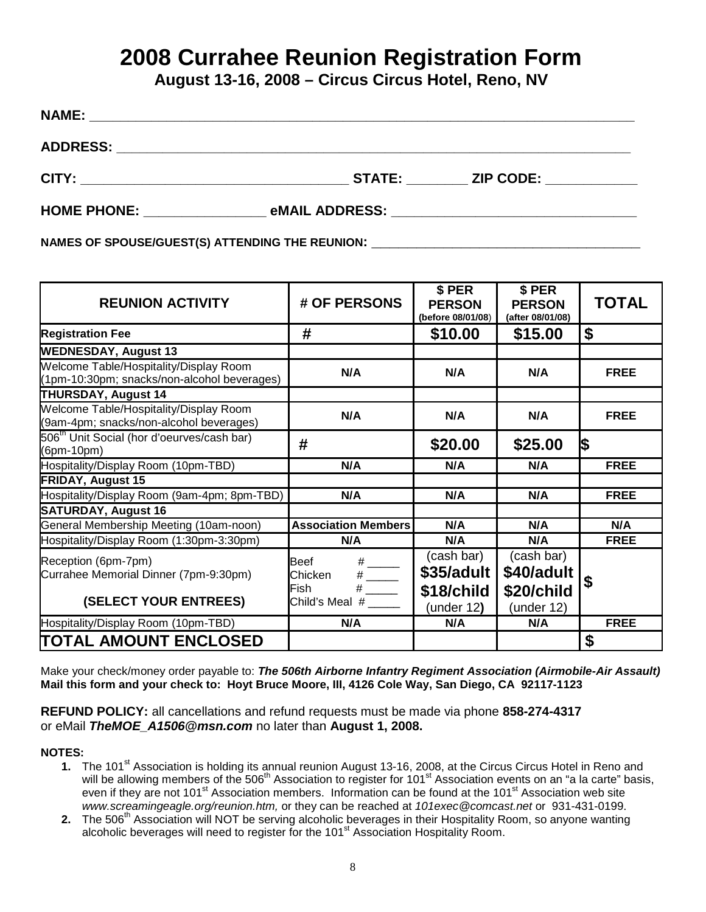# **2008 Currahee Reunion Registration Form**

**August 13-16, 2008 – Circus Circus Hotel, Reno, NV** 

| <b>NAME:</b>       |                                                |                  |
|--------------------|------------------------------------------------|------------------|
|                    |                                                |                  |
|                    |                                                | STATE: ZIP CODE: |
| <b>HOME PHONE:</b> | eMAIL ADDRESS: _______________________________ |                  |

NAMES OF SPOUSE/GUEST(S) ATTENDING THE REUNION:

| <b>REUNION ACTIVITY</b>                                                               | # OF PERSONS                                                                                                                                                | \$ PER<br><b>PERSON</b><br>(before 08/01/08)         | \$ PER<br><b>PERSON</b><br>(after 08/01/08)          | <b>TOTAL</b> |
|---------------------------------------------------------------------------------------|-------------------------------------------------------------------------------------------------------------------------------------------------------------|------------------------------------------------------|------------------------------------------------------|--------------|
| <b>Registration Fee</b>                                                               | #                                                                                                                                                           | \$10.00                                              | \$15.00                                              | \$           |
| <b>WEDNESDAY, August 13</b>                                                           |                                                                                                                                                             |                                                      |                                                      |              |
| Welcome Table/Hospitality/Display Room<br>(1pm-10:30pm; snacks/non-alcohol beverages) | N/A                                                                                                                                                         | N/A                                                  | N/A                                                  | <b>FREE</b>  |
| <b>THURSDAY, August 14</b>                                                            |                                                                                                                                                             |                                                      |                                                      |              |
| Welcome Table/Hospitality/Display Room<br>(9am-4pm; snacks/non-alcohol beverages)     | N/A                                                                                                                                                         | N/A                                                  | N/A                                                  | <b>FREE</b>  |
| 506 <sup>th</sup> Unit Social (hor d'oeurves/cash bar)<br>(6pm-10pm)                  | #                                                                                                                                                           | \$20.00                                              | \$25.00                                              | 1\$          |
| Hospitality/Display Room (10pm-TBD)                                                   | N/A                                                                                                                                                         | N/A                                                  | N/A                                                  | <b>FREE</b>  |
| <b>FRIDAY, August 15</b>                                                              |                                                                                                                                                             |                                                      |                                                      |              |
| Hospitality/Display Room (9am-4pm; 8pm-TBD)                                           | N/A                                                                                                                                                         | N/A                                                  | N/A                                                  | <b>FREE</b>  |
| <b>SATURDAY, August 16</b>                                                            |                                                                                                                                                             |                                                      |                                                      |              |
| General Membership Meeting (10am-noon)                                                | <b>Association Members</b>                                                                                                                                  | N/A                                                  | N/A                                                  | N/A          |
| Hospitality/Display Room (1:30pm-3:30pm)                                              | N/A                                                                                                                                                         | N/A                                                  | N/A                                                  | <b>FREE</b>  |
| Reception (6pm-7pm)<br>Currahee Memorial Dinner (7pm-9:30pm)<br>(SELECT YOUR ENTREES) | <b>Beef</b><br>$\begin{array}{c}\n# \quad \quad \text{---} \\ \text{---} \\ \text{---} \\ \hline\n\end{array}$<br>Chicken<br>Fish<br>Child's Meal $#$ _____ | (cash bar)<br>\$35/adult<br>\$18/child<br>(under 12) | (cash bar)<br>\$40/adult<br>\$20/child<br>(under 12) |              |
| Hospitality/Display Room (10pm-TBD)                                                   | N/A                                                                                                                                                         | N/A                                                  | N/A                                                  | <b>FREE</b>  |
| <b>TOTAL AMOUNT ENCLOSED</b>                                                          |                                                                                                                                                             |                                                      |                                                      | \$           |

Make your check/money order payable to: *The 506th Airborne Infantry Regiment Association (Airmobile-Air Assault)* **Mail this form and your check to: Hoyt Bruce Moore, III, 4126 Cole Way, San Diego, CA 92117-1123**

**REFUND POLICY:** all cancellations and refund requests must be made via phone **858-274-4317**  or eMail *TheMOE\_A1506@msn.com* no later than **August 1, 2008.** 

#### **NOTES:**

- 1. The 101<sup>st</sup> Association is holding its annual reunion August 13-16, 2008, at the Circus Circus Hotel in Reno and will be allowing members of the 506<sup>th</sup> Association to register for 101<sup>st</sup> Association events on an "a la carte" basis, even if they are not 101<sup>st</sup> Association members. Information can be found at the 101<sup>st</sup> Association web site *www.screamingeagle.org/reunion.htm,* or they can be reached at *101exec@comcast.net* or 931-431-0199.
- **2.** The 506<sup>th</sup> Association will NOT be serving alcoholic beverages in their Hospitality Room, so anyone wanting alcoholic beverages will need to register for the 101<sup>st</sup> Association Hospitality Room.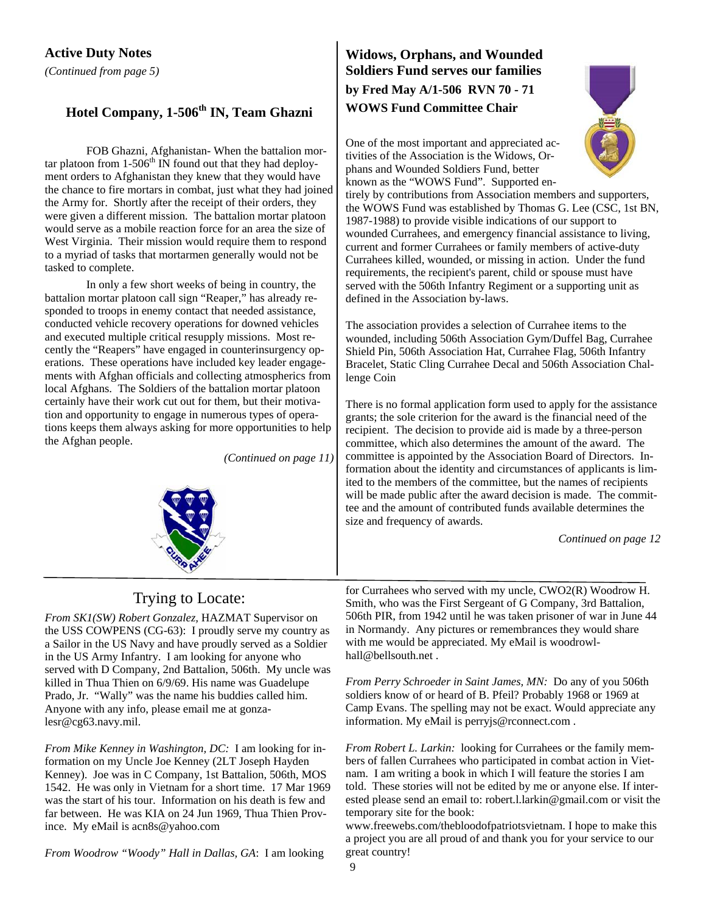# **Hotel Company, 1-506th IN, Team Ghazni**

FOB Ghazni, Afghanistan- When the battalion mortar platoon from  $1-506^{\text{th}}$  IN found out that they had deployment orders to Afghanistan they knew that they would have the chance to fire mortars in combat, just what they had joined the Army for. Shortly after the receipt of their orders, they were given a different mission. The battalion mortar platoon would serve as a mobile reaction force for an area the size of West Virginia. Their mission would require them to respond to a myriad of tasks that mortarmen generally would not be tasked to complete.

In only a few short weeks of being in country, the battalion mortar platoon call sign "Reaper," has already responded to troops in enemy contact that needed assistance, conducted vehicle recovery operations for downed vehicles and executed multiple critical resupply missions. Most recently the "Reapers" have engaged in counterinsurgency operations. These operations have included key leader engagements with Afghan officials and collecting atmospherics from local Afghans. The Soldiers of the battalion mortar platoon certainly have their work cut out for them, but their motivation and opportunity to engage in numerous types of operations keeps them always asking for more opportunities to help the Afghan people.

*(Continued on page 11)* 



## **Widows, Orphans, and Wounded Soldiers Fund serves our families by Fred May A/1-506 RVN 70 - 71 WOWS Fund Committee Chair**

One of the most important and appreciated activities of the Association is the Widows, Orphans and Wounded Soldiers Fund, better known as the "WOWS Fund". Supported en-

tirely by contributions from Association members and supporters, the WOWS Fund was established by Thomas G. Lee (CSC, 1st BN, 1987-1988) to provide visible indications of our support to wounded Currahees, and emergency financial assistance to living, current and former Currahees or family members of active-duty Currahees killed, wounded, or missing in action. Under the fund requirements, the recipient's parent, child or spouse must have served with the 506th Infantry Regiment or a supporting unit as defined in the Association by-laws.

The association provides a selection of Currahee items to the wounded, including 506th Association Gym/Duffel Bag, Currahee Shield Pin, 506th Association Hat, Currahee Flag, 506th Infantry Bracelet, Static Cling Currahee Decal and 506th Association Challenge Coin

There is no formal application form used to apply for the assistance grants; the sole criterion for the award is the financial need of the recipient. The decision to provide aid is made by a three-person committee, which also determines the amount of the award. The committee is appointed by the Association Board of Directors. Information about the identity and circumstances of applicants is limited to the members of the committee, but the names of recipients will be made public after the award decision is made. The committee and the amount of contributed funds available determines the size and frequency of awards.

*Continued on page 12* 

## Trying to Locate:

*From SK1(SW) Robert Gonzalez,* HAZMAT Supervisor on the USS COWPENS (CG-63): I proudly serve my country as a Sailor in the US Navy and have proudly served as a Soldier in the US Army Infantry. I am looking for anyone who served with D Company, 2nd Battalion, 506th. My uncle was killed in Thua Thien on 6/9/69. His name was Guadelupe Prado, Jr. "Wally" was the name his buddies called him. Anyone with any info, please email me at gonzalesr@cg63.navy.mil.

*From Mike Kenney in Washington, DC:* I am looking for information on my Uncle Joe Kenney (2LT Joseph Hayden Kenney). Joe was in C Company, 1st Battalion, 506th, MOS 1542. He was only in Vietnam for a short time. 17 Mar 1969 was the start of his tour. Information on his death is few and far between. He was KIA on 24 Jun 1969, Thua Thien Province. My eMail is acn8s@yahoo.com

*From Woodrow "Woody" Hall in Dallas, GA*: I am looking

for Currahees who served with my uncle, CWO2(R) Woodrow H. Smith, who was the First Sergeant of G Company, 3rd Battalion, 506th PIR, from 1942 until he was taken prisoner of war in June 44 in Normandy. Any pictures or remembrances they would share with me would be appreciated. My eMail is woodrowlhall@bellsouth.net .

*From Perry Schroeder in Saint James, MN:* Do any of you 506th soldiers know of or heard of B. Pfeil? Probably 1968 or 1969 at Camp Evans. The spelling may not be exact. Would appreciate any information. My eMail is perryjs@rconnect.com .

*From Robert L. Larkin:* looking for Currahees or the family members of fallen Currahees who participated in combat action in Vietnam. I am writing a book in which  $\overline{I}$  will feature the stories I am told. These stories will not be edited by me or anyone else. If interested please send an email to: robert.l.larkin@gmail.com or visit the temporary site for the book:

www.freewebs.com/thebloodofpatriotsvietnam. I hope to make this a project you are all proud of and thank you for your service to our great country!

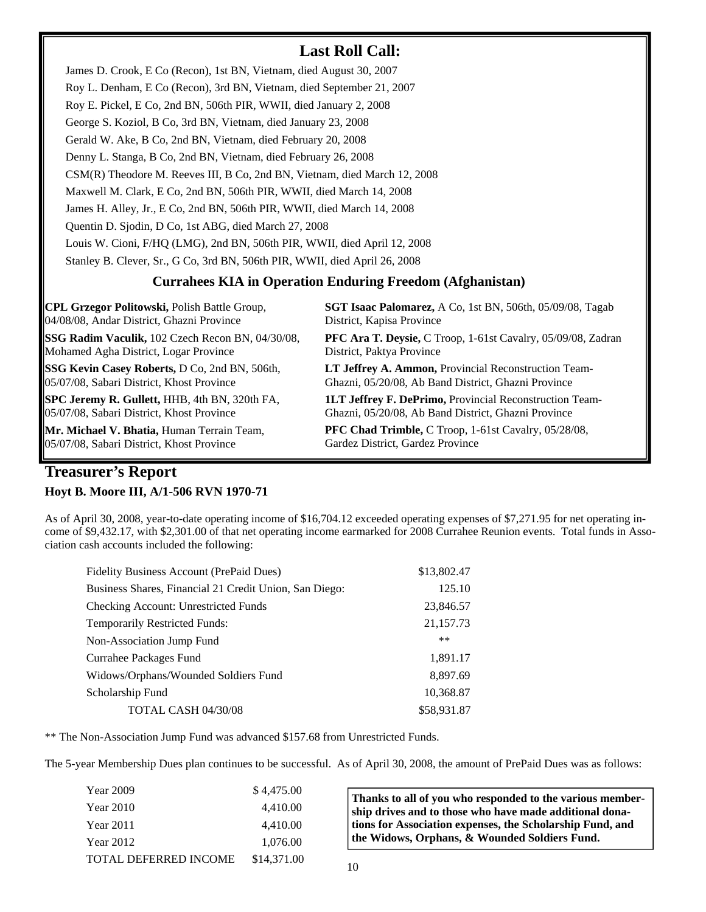## **Last Roll Call:**

**Currahees KIA in Operation Enduring Freedom (Afghanistan)**  James D. Crook, E Co (Recon), 1st BN, Vietnam, died August 30, 2007 Roy L. Denham, E Co (Recon), 3rd BN, Vietnam, died September 21, 2007 Roy E. Pickel, E Co, 2nd BN, 506th PIR, WWII, died January 2, 2008 George S. Koziol, B Co, 3rd BN, Vietnam, died January 23, 2008 Gerald W. Ake, B Co, 2nd BN, Vietnam, died February 20, 2008 Denny L. Stanga, B Co, 2nd BN, Vietnam, died February 26, 2008 CSM(R) Theodore M. Reeves III, B Co, 2nd BN, Vietnam, died March 12, 2008 Maxwell M. Clark, E Co, 2nd BN, 506th PIR, WWII, died March 14, 2008 James H. Alley, Jr., E Co, 2nd BN, 506th PIR, WWII, died March 14, 2008 Quentin D. Sjodin, D Co, 1st ABG, died March 27, 2008 Louis W. Cioni, F/HQ (LMG), 2nd BN, 506th PIR, WWII, died April 12, 2008 Stanley B. Clever, Sr., G Co, 3rd BN, 506th PIR, WWII, died April 26, 2008

**CPL Grzegor Politowski,** Polish Battle Group, 04/08/08, Andar District, Ghazni Province

**SSG Radim Vaculik,** 102 Czech Recon BN, 04/30/08, Mohamed Agha District, Logar Province

**SSG Kevin Casey Roberts,** D Co, 2nd BN, 506th, 05/07/08, Sabari District, Khost Province

**SPC Jeremy R. Gullett,** HHB, 4th BN, 320th FA, 05/07/08, Sabari District, Khost Province

**Mr. Michael V. Bhatia,** Human Terrain Team, 05/07/08, Sabari District, Khost Province

**SGT Isaac Palomarez,** A Co, 1st BN, 506th, 05/09/08, Tagab District, Kapisa Province

**PFC Ara T. Deysie,** C Troop, 1-61st Cavalry, 05/09/08, Zadran District, Paktya Province

**LT Jeffrey A. Ammon,** Provincial Reconstruction Team-Ghazni, 05/20/08, Ab Band District, Ghazni Province

**1LT Jeffrey F. DePrimo,** Provincial Reconstruction Team-Ghazni, 05/20/08, Ab Band District, Ghazni Province

**PFC Chad Trimble,** C Troop, 1-61st Cavalry, 05/28/08, Gardez District, Gardez Province

## **Treasurer's Report**

#### **Hoyt B. Moore III, A/1-506 RVN 1970-71**

As of April 30, 2008, year-to-date operating income of \$16,704.12 exceeded operating expenses of \$7,271.95 for net operating income of \$9,432.17, with \$2,301.00 of that net operating income earmarked for 2008 Currahee Reunion events. Total funds in Association cash accounts included the following:

| \$13,802.47 |
|-------------|
| 125.10      |
| 23,846.57   |
| 21,157.73   |
| $***$       |
| 1,891.17    |
| 8,897.69    |
| 10,368.87   |
| \$58,931.87 |
|             |

\*\* The Non-Association Jump Fund was advanced \$157.68 from Unrestricted Funds.

The 5-year Membership Dues plan continues to be successful. As of April 30, 2008, the amount of PrePaid Dues was as follows:

| Year 2009             | \$4,475.00  |
|-----------------------|-------------|
| Year 2010             | 4,410.00    |
| Year 2011             | 4,410.00    |
| Year 2012             | 1,076.00    |
| TOTAL DEFERRED INCOME | \$14,371.00 |

**Thanks to all of you who responded to the various membership drives and to those who have made additional donations for Association expenses, the Scholarship Fund, and the Widows, Orphans, & Wounded Soldiers Fund.**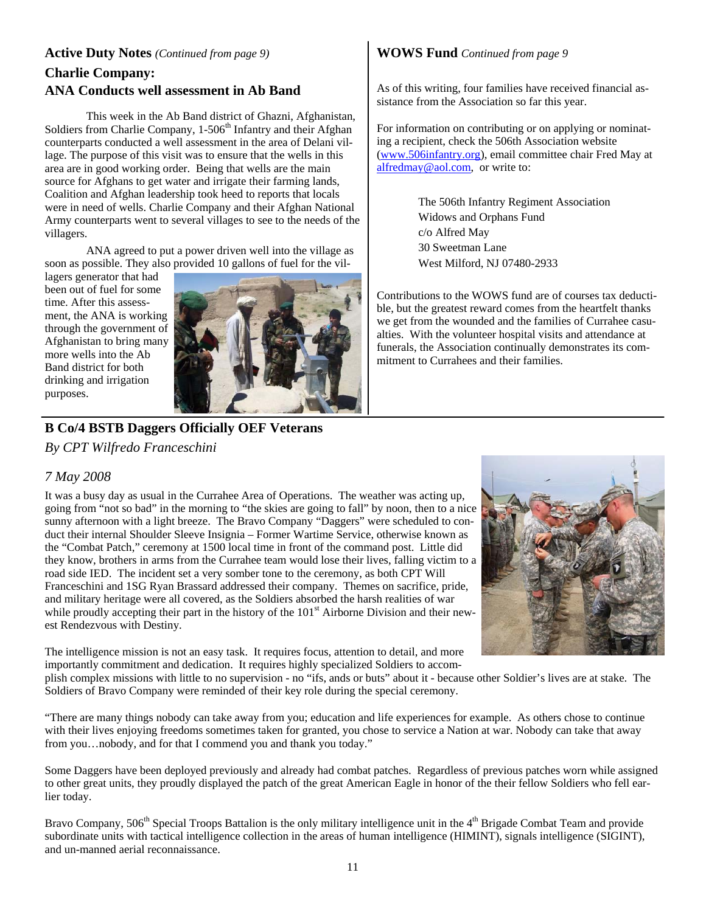## **Active Duty Notes** *(Continued from page 9)*

## **Charlie Company: ANA Conducts well assessment in Ab Band**

 This week in the Ab Band district of Ghazni, Afghanistan, Soldiers from Charlie Company, 1-506<sup>th</sup> Infantry and their Afghan counterparts conducted a well assessment in the area of Delani village. The purpose of this visit was to ensure that the wells in this area are in good working order. Being that wells are the main source for Afghans to get water and irrigate their farming lands, Coalition and Afghan leadership took heed to reports that locals were in need of wells. Charlie Company and their Afghan National Army counterparts went to several villages to see to the needs of the villagers.

 ANA agreed to put a power driven well into the village as soon as possible. They also provided 10 gallons of fuel for the vil-

lagers generator that had been out of fuel for some time. After this assessment, the ANA is working through the government of Afghanistan to bring many more wells into the Ab Band district for both drinking and irrigation purposes.



## **B Co/4 BSTB Daggers Officially OEF Veterans**

*By CPT Wilfredo Franceschini* 

#### *7 May 2008*

It was a busy day as usual in the Currahee Area of Operations. The weather was acting up, going from "not so bad" in the morning to "the skies are going to fall" by noon, then to a nice sunny afternoon with a light breeze. The Bravo Company "Daggers" were scheduled to conduct their internal Shoulder Sleeve Insignia – Former Wartime Service, otherwise known as the "Combat Patch," ceremony at 1500 local time in front of the command post. Little did they know, brothers in arms from the Currahee team would lose their lives, falling victim to a road side IED. The incident set a very somber tone to the ceremony, as both CPT Will Franceschini and 1SG Ryan Brassard addressed their company. Themes on sacrifice, pride, and military heritage were all covered, as the Soldiers absorbed the harsh realities of war while proudly accepting their part in the history of the 101<sup>st</sup> Airborne Division and their newest Rendezvous with Destiny.

The intelligence mission is not an easy task. It requires focus, attention to detail, and more importantly commitment and dedication. It requires highly specialized Soldiers to accom-

plish complex missions with little to no supervision - no "ifs, ands or buts" about it - because other Soldier's lives are at stake. The Soldiers of Bravo Company were reminded of their key role during the special ceremony.

"There are many things nobody can take away from you; education and life experiences for example. As others chose to continue with their lives enjoying freedoms sometimes taken for granted, you chose to service a Nation at war. Nobody can take that away from you…nobody, and for that I commend you and thank you today."

Some Daggers have been deployed previously and already had combat patches. Regardless of previous patches worn while assigned to other great units, they proudly displayed the patch of the great American Eagle in honor of the their fellow Soldiers who fell earlier today.

Bravo Company, 506<sup>th</sup> Special Troops Battalion is the only military intelligence unit in the 4<sup>th</sup> Brigade Combat Team and provide subordinate units with tactical intelligence collection in the areas of human intelligence (HIMINT), signals intelligence (SIGINT), and un-manned aerial reconnaissance.

#### **WOWS Fund** *Continued from page 9*

As of this writing, four families have received financial assistance from the Association so far this year.

For information on contributing or on applying or nominating a recipient, check the 506th Association website (www.506infantry.org), email committee chair Fred May at alfredmay@aol.com, or write to:

> The 506th Infantry Regiment Association Widows and Orphans Fund c/o Alfred May 30 Sweetman Lane West Milford, NJ 07480-2933

Contributions to the WOWS fund are of courses tax deductible, but the greatest reward comes from the heartfelt thanks we get from the wounded and the families of Currahee casualties. With the volunteer hospital visits and attendance at funerals, the Association continually demonstrates its commitment to Currahees and their families.

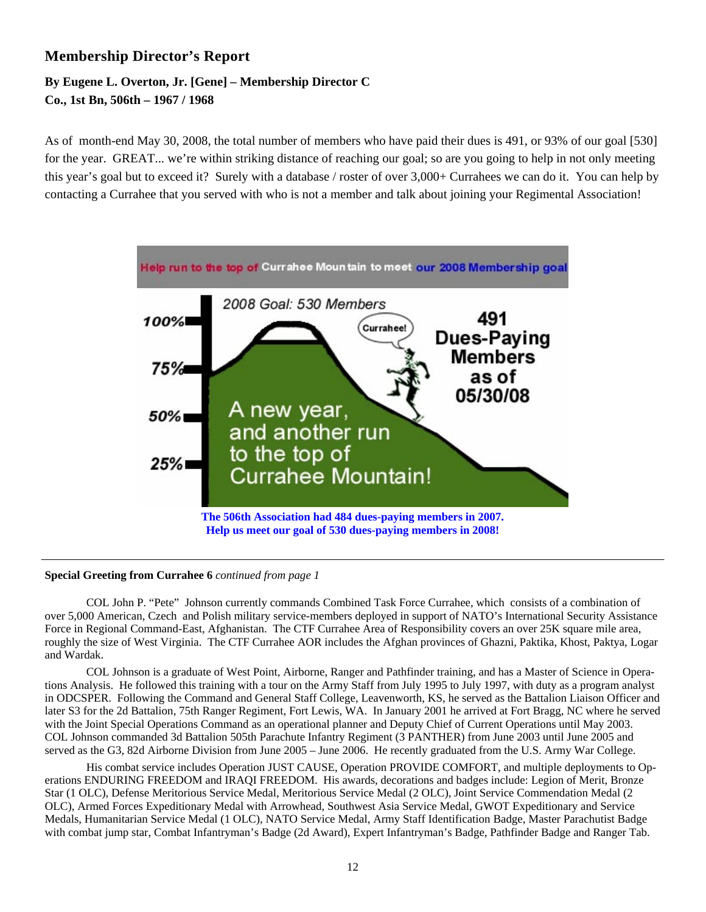## **Membership Director's Report**

## **By Eugene L. Overton, Jr. [Gene] – Membership Director C Co., 1st Bn, 506th – 1967 / 1968**

As of month-end May 30, 2008, the total number of members who have paid their dues is 491, or 93% of our goal [530] for the year. GREAT... we're within striking distance of reaching our goal; so are you going to help in not only meeting this year's goal but to exceed it? Surely with a database / roster of over 3,000+ Currahees we can do it. You can help by contacting a Currahee that you served with who is not a member and talk about joining your Regimental Association!



#### **Special Greeting from Currahee 6** *continued from page 1*

COL John P. "Pete" Johnson currently commands Combined Task Force Currahee, which consists of a combination of over 5,000 American, Czech and Polish military service-members deployed in support of NATO's International Security Assistance Force in Regional Command-East, Afghanistan. The CTF Currahee Area of Responsibility covers an over 25K square mile area, roughly the size of West Virginia. The CTF Currahee AOR includes the Afghan provinces of Ghazni, Paktika, Khost, Paktya, Logar and Wardak.

 COL Johnson is a graduate of West Point, Airborne, Ranger and Pathfinder training, and has a Master of Science in Operations Analysis. He followed this training with a tour on the Army Staff from July 1995 to July 1997, with duty as a program analyst in ODCSPER. Following the Command and General Staff College, Leavenworth, KS, he served as the Battalion Liaison Officer and later S3 for the 2d Battalion, 75th Ranger Regiment, Fort Lewis, WA. In January 2001 he arrived at Fort Bragg, NC where he served with the Joint Special Operations Command as an operational planner and Deputy Chief of Current Operations until May 2003. COL Johnson commanded 3d Battalion 505th Parachute Infantry Regiment (3 PANTHER) from June 2003 until June 2005 and served as the G3, 82d Airborne Division from June 2005 – June 2006. He recently graduated from the U.S. Army War College.

 His combat service includes Operation JUST CAUSE, Operation PROVIDE COMFORT, and multiple deployments to Operations ENDURING FREEDOM and IRAQI FREEDOM. His awards, decorations and badges include: Legion of Merit, Bronze Star (1 OLC), Defense Meritorious Service Medal, Meritorious Service Medal (2 OLC), Joint Service Commendation Medal (2 OLC), Armed Forces Expeditionary Medal with Arrowhead, Southwest Asia Service Medal, GWOT Expeditionary and Service Medals, Humanitarian Service Medal (1 OLC), NATO Service Medal, Army Staff Identification Badge, Master Parachutist Badge with combat jump star, Combat Infantryman's Badge (2d Award), Expert Infantryman's Badge, Pathfinder Badge and Ranger Tab.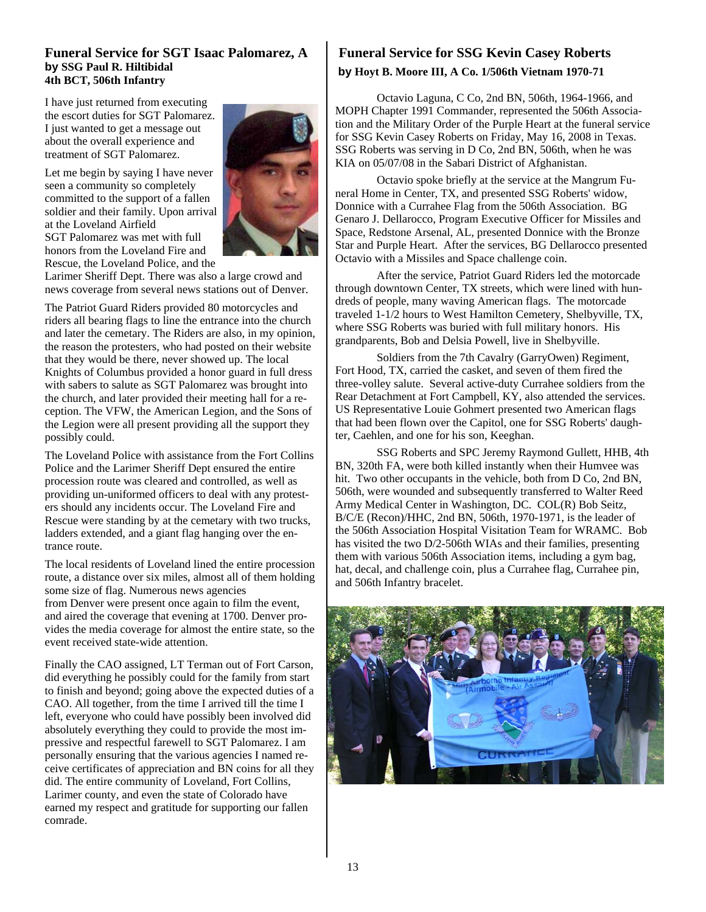#### **Funeral Service for SGT Isaac Palomarez, A by SSG Paul R. Hiltibidal 4th BCT, 506th Infantry**

I have just returned from executing the escort duties for SGT Palomarez. I just wanted to get a message out about the overall experience and treatment of SGT Palomarez.

Let me begin by saying I have never seen a community so completely committed to the support of a fallen soldier and their family. Upon arrival at the Loveland Airfield SGT Palomarez was met with full honors from the Loveland Fire and Rescue, the Loveland Police, and the



Larimer Sheriff Dept. There was also a large crowd and news coverage from several news stations out of Denver.

The Patriot Guard Riders provided 80 motorcycles and riders all bearing flags to line the entrance into the church and later the cemetary. The Riders are also, in my opinion, the reason the protesters, who had posted on their website that they would be there, never showed up. The local Knights of Columbus provided a honor guard in full dress with sabers to salute as SGT Palomarez was brought into the church, and later provided their meeting hall for a reception. The VFW, the American Legion, and the Sons of the Legion were all present providing all the support they possibly could.

The Loveland Police with assistance from the Fort Collins Police and the Larimer Sheriff Dept ensured the entire procession route was cleared and controlled, as well as providing un-uniformed officers to deal with any protesters should any incidents occur. The Loveland Fire and Rescue were standing by at the cemetary with two trucks, ladders extended, and a giant flag hanging over the entrance route.

The local residents of Loveland lined the entire procession route, a distance over six miles, almost all of them holding some size of flag. Numerous news agencies from Denver were present once again to film the event, and aired the coverage that evening at 1700. Denver provides the media coverage for almost the entire state, so the event received state-wide attention.

Finally the CAO assigned, LT Terman out of Fort Carson, did everything he possibly could for the family from start to finish and beyond; going above the expected duties of a CAO. All together, from the time I arrived till the time I left, everyone who could have possibly been involved did absolutely everything they could to provide the most impressive and respectful farewell to SGT Palomarez. I am personally ensuring that the various agencies I named receive certificates of appreciation and BN coins for all they did. The entire community of Loveland, Fort Collins, Larimer county, and even the state of Colorado have earned my respect and gratitude for supporting our fallen comrade.

#### **Funeral Service for SSG Kevin Casey Roberts by Hoyt B. Moore III, A Co. 1/506th Vietnam 1970-71**

 Octavio Laguna, C Co, 2nd BN, 506th, 1964-1966, and MOPH Chapter 1991 Commander, represented the 506th Association and the Military Order of the Purple Heart at the funeral service for SSG Kevin Casey Roberts on Friday, May 16, 2008 in Texas. SSG Roberts was serving in D Co, 2nd BN, 506th, when he was KIA on 05/07/08 in the Sabari District of Afghanistan.

 Octavio spoke briefly at the service at the Mangrum Funeral Home in Center, TX, and presented SSG Roberts' widow, Donnice with a Currahee Flag from the 506th Association. BG Genaro J. Dellarocco, Program Executive Officer for Missiles and Space, Redstone Arsenal, AL, presented Donnice with the Bronze Star and Purple Heart. After the services, BG Dellarocco presented Octavio with a Missiles and Space challenge coin.

 After the service, Patriot Guard Riders led the motorcade through downtown Center, TX streets, which were lined with hundreds of people, many waving American flags. The motorcade traveled 1-1/2 hours to West Hamilton Cemetery, Shelbyville, TX, where SSG Roberts was buried with full military honors. His grandparents, Bob and Delsia Powell, live in Shelbyville.

 Soldiers from the 7th Cavalry (GarryOwen) Regiment, Fort Hood, TX, carried the casket, and seven of them fired the three-volley salute. Several active-duty Currahee soldiers from the Rear Detachment at Fort Campbell, KY, also attended the services. US Representative Louie Gohmert presented two American flags that had been flown over the Capitol, one for SSG Roberts' daughter, Caehlen, and one for his son, Keeghan.

 SSG Roberts and SPC Jeremy Raymond Gullett, HHB, 4th BN, 320th FA, were both killed instantly when their Humvee was hit. Two other occupants in the vehicle, both from D Co, 2nd BN, 506th, were wounded and subsequently transferred to Walter Reed Army Medical Center in Washington, DC. COL(R) Bob Seitz, B/C/E (Recon)/HHC, 2nd BN, 506th, 1970-1971, is the leader of the 506th Association Hospital Visitation Team for WRAMC. Bob has visited the two D/2-506th WIAs and their families, presenting them with various 506th Association items, including a gym bag, hat, decal, and challenge coin, plus a Currahee flag, Currahee pin, and 506th Infantry bracelet.

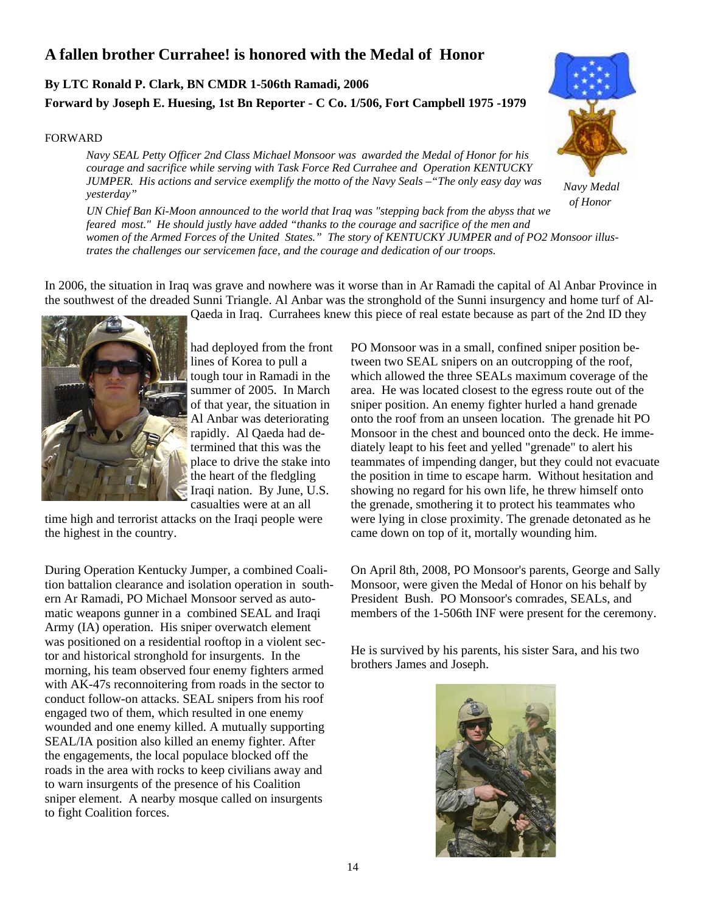## **A fallen brother Currahee! is honored with the Medal of Honor**

### **By LTC Ronald P. Clark, BN CMDR 1-506th Ramadi, 2006 Forward by Joseph E. Huesing, 1st Bn Reporter - C Co. 1/506, Fort Campbell 1975 -1979**

#### FORWARD



*Navy Medal of Honor* 

*Navy SEAL Petty Officer 2nd Class Michael Monsoor was awarded the Medal of Honor for his courage and sacrifice while serving with Task Force Red Currahee and Operation KENTUCKY JUMPER. His actions and service exemplify the motto of the Navy Seals –"The only easy day was yesterday"* 

*UN Chief Ban Ki-Moon announced to the world that Iraq was "stepping back from the abyss that we feared most." He should justly have added "thanks to the courage and sacrifice of the men and women of the Armed Forces of the United States." The story of KENTUCKY JUMPER and of PO2 Monsoor illustrates the challenges our servicemen face, and the courage and dedication of our troops.* 

In 2006, the situation in Iraq was grave and nowhere was it worse than in Ar Ramadi the capital of Al Anbar Province in the southwest of the dreaded Sunni Triangle. Al Anbar was the stronghold of the Sunni insurgency and home turf of Al-

Qaeda in Iraq. Currahees knew this piece of real estate because as part of the 2nd ID they

had deployed from the front lines of Korea to pull a tough tour in Ramadi in the summer of 2005. In March of that year, the situation in Al Anbar was deteriorating rapidly. Al Qaeda had determined that this was the place to drive the stake into the heart of the fledgling Iraqi nation. By June, U.S. casualties were at an all

time high and terrorist attacks on the Iraqi people were the highest in the country.

During Operation Kentucky Jumper, a combined Coalition battalion clearance and isolation operation in southern Ar Ramadi, PO Michael Monsoor served as automatic weapons gunner in a combined SEAL and Iraqi Army (IA) operation. His sniper overwatch element was positioned on a residential rooftop in a violent sector and historical stronghold for insurgents. In the morning, his team observed four enemy fighters armed with AK-47s reconnoitering from roads in the sector to conduct follow-on attacks. SEAL snipers from his roof engaged two of them, which resulted in one enemy wounded and one enemy killed. A mutually supporting SEAL/IA position also killed an enemy fighter. After the engagements, the local populace blocked off the roads in the area with rocks to keep civilians away and to warn insurgents of the presence of his Coalition sniper element. A nearby mosque called on insurgents to fight Coalition forces.

PO Monsoor was in a small, confined sniper position between two SEAL snipers on an outcropping of the roof, which allowed the three SEALs maximum coverage of the area. He was located closest to the egress route out of the sniper position. An enemy fighter hurled a hand grenade onto the roof from an unseen location. The grenade hit PO Monsoor in the chest and bounced onto the deck. He immediately leapt to his feet and yelled "grenade" to alert his teammates of impending danger, but they could not evacuate the position in time to escape harm. Without hesitation and showing no regard for his own life, he threw himself onto the grenade, smothering it to protect his teammates who were lying in close proximity. The grenade detonated as he came down on top of it, mortally wounding him.

On April 8th, 2008, PO Monsoor's parents, George and Sally Monsoor, were given the Medal of Honor on his behalf by President Bush. PO Monsoor's comrades, SEALs, and members of the 1-506th INF were present for the ceremony.

He is survived by his parents, his sister Sara, and his two brothers James and Joseph.

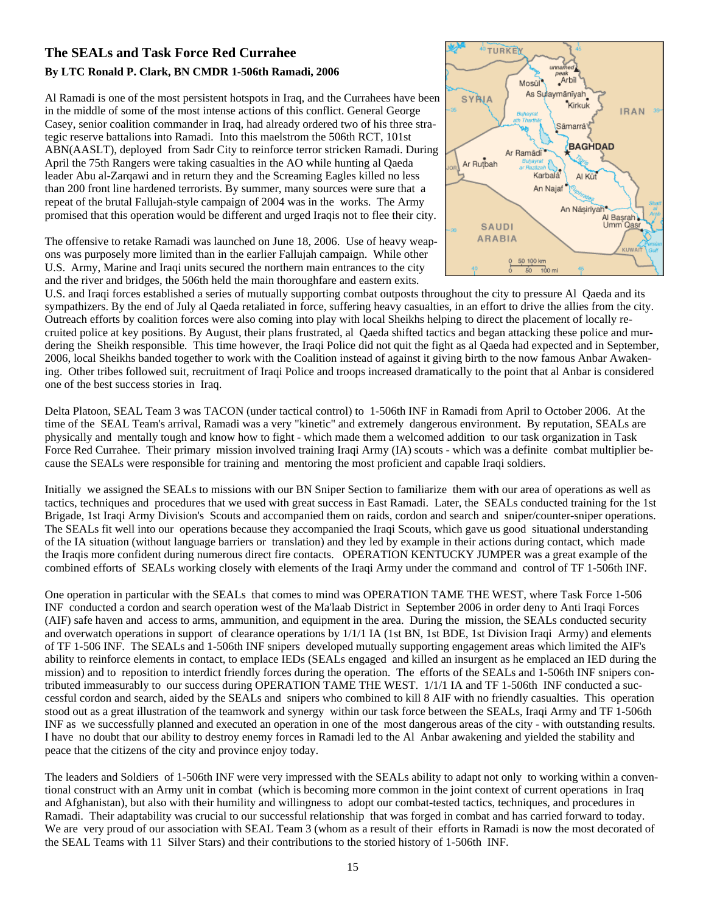#### **The SEALs and Task Force Red Currahee By LTC Ronald P. Clark, BN CMDR 1-506th Ramadi, 2006**

Al Ramadi is one of the most persistent hotspots in Iraq, and the Currahees have been in the middle of some of the most intense actions of this conflict. General George Casey, senior coalition commander in Iraq, had already ordered two of his three strategic reserve battalions into Ramadi. Into this maelstrom the 506th RCT, 101st ABN(AASLT), deployed from Sadr City to reinforce terror stricken Ramadi. During April the 75th Rangers were taking casualties in the AO while hunting al Qaeda leader Abu al-Zarqawi and in return they and the Screaming Eagles killed no less than 200 front line hardened terrorists. By summer, many sources were sure that a repeat of the brutal Fallujah-style campaign of 2004 was in the works. The Army promised that this operation would be different and urged Iraqis not to flee their city.

The offensive to retake Ramadi was launched on June 18, 2006. Use of heavy weapons was purposely more limited than in the earlier Fallujah campaign. While other U.S. Army, Marine and Iraqi units secured the northern main entrances to the city and the river and bridges, the 506th held the main thoroughfare and eastern exits.



U.S. and Iraqi forces established a series of mutually supporting combat outposts throughout the city to pressure Al Qaeda and its sympathizers. By the end of July al Qaeda retaliated in force, suffering heavy casualties, in an effort to drive the allies from the city. Outreach efforts by coalition forces were also coming into play with local Sheikhs helping to direct the placement of locally recruited police at key positions. By August, their plans frustrated, al Qaeda shifted tactics and began attacking these police and murdering the Sheikh responsible. This time however, the Iraqi Police did not quit the fight as al Qaeda had expected and in September, 2006, local Sheikhs banded together to work with the Coalition instead of against it giving birth to the now famous Anbar Awakening. Other tribes followed suit, recruitment of Iraqi Police and troops increased dramatically to the point that al Anbar is considered one of the best success stories in Iraq.

Delta Platoon, SEAL Team 3 was TACON (under tactical control) to 1-506th INF in Ramadi from April to October 2006. At the time of the SEAL Team's arrival, Ramadi was a very "kinetic" and extremely dangerous environment. By reputation, SEALs are physically and mentally tough and know how to fight - which made them a welcomed addition to our task organization in Task Force Red Currahee. Their primary mission involved training Iraqi Army (IA) scouts - which was a definite combat multiplier because the SEALs were responsible for training and mentoring the most proficient and capable Iraqi soldiers.

Initially we assigned the SEALs to missions with our BN Sniper Section to familiarize them with our area of operations as well as tactics, techniques and procedures that we used with great success in East Ramadi. Later, the SEALs conducted training for the 1st Brigade, 1st Iraqi Army Division's Scouts and accompanied them on raids, cordon and search and sniper/counter-sniper operations. The SEALs fit well into our operations because they accompanied the Iraqi Scouts, which gave us good situational understanding of the IA situation (without language barriers or translation) and they led by example in their actions during contact, which made the Iraqis more confident during numerous direct fire contacts. OPERATION KENTUCKY JUMPER was a great example of the combined efforts of SEALs working closely with elements of the Iraqi Army under the command and control of TF 1-506th INF.

One operation in particular with the SEALs that comes to mind was OPERATION TAME THE WEST, where Task Force 1-506 INF conducted a cordon and search operation west of the Ma'laab District in September 2006 in order deny to Anti Iraqi Forces (AIF) safe haven and access to arms, ammunition, and equipment in the area. During the mission, the SEALs conducted security and overwatch operations in support of clearance operations by 1/1/1 IA (1st BN, 1st BDE, 1st Division Iraqi Army) and elements of TF 1-506 INF. The SEALs and 1-506th INF snipers developed mutually supporting engagement areas which limited the AIF's ability to reinforce elements in contact, to emplace IEDs (SEALs engaged and killed an insurgent as he emplaced an IED during the mission) and to reposition to interdict friendly forces during the operation. The efforts of the SEALs and 1-506th INF snipers contributed immeasurably to our success during OPERATION TAME THE WEST. 1/1/1 IA and TF 1-506th INF conducted a successful cordon and search, aided by the SEALs and snipers who combined to kill 8 AIF with no friendly casualties. This operation stood out as a great illustration of the teamwork and synergy within our task force between the SEALs, Iraqi Army and TF 1-506th INF as we successfully planned and executed an operation in one of the most dangerous areas of the city - with outstanding results. I have no doubt that our ability to destroy enemy forces in Ramadi led to the Al Anbar awakening and yielded the stability and peace that the citizens of the city and province enjoy today.

The leaders and Soldiers of 1-506th INF were very impressed with the SEALs ability to adapt not only to working within a conventional construct with an Army unit in combat (which is becoming more common in the joint context of current operations in Iraq and Afghanistan), but also with their humility and willingness to adopt our combat-tested tactics, techniques, and procedures in Ramadi. Their adaptability was crucial to our successful relationship that was forged in combat and has carried forward to today. We are very proud of our association with SEAL Team 3 (whom as a result of their efforts in Ramadi is now the most decorated of the SEAL Teams with 11 Silver Stars) and their contributions to the storied history of 1-506th INF.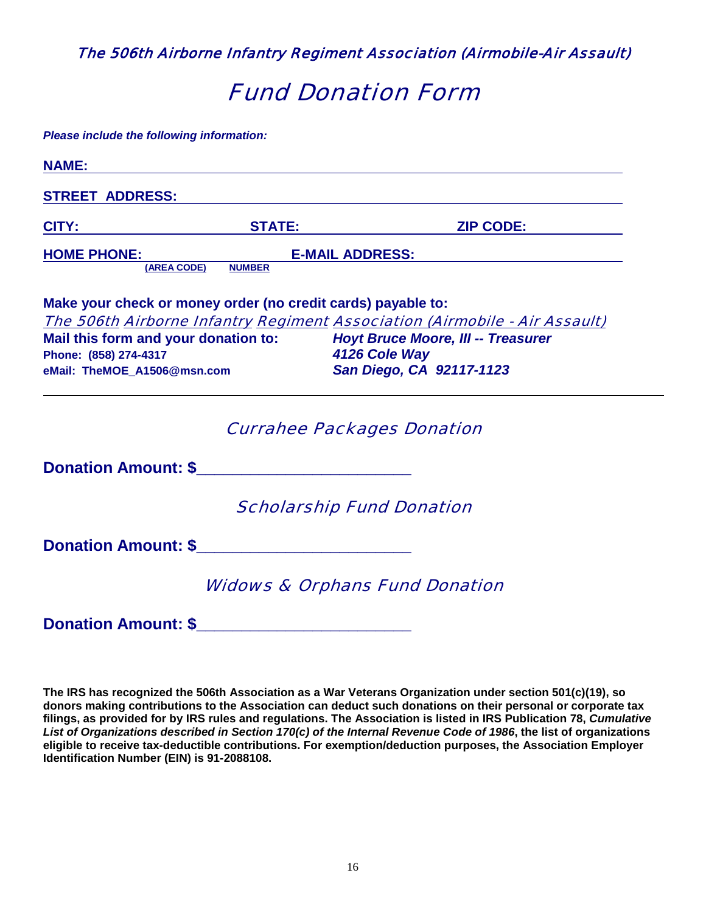The 506th Airborne Infantry Regiment Association (Airmobile-Air Assault)

# Fund Donation Form

*Please include the following information:* 

| <b>NAME:</b>                                                 |               |                                                                            |
|--------------------------------------------------------------|---------------|----------------------------------------------------------------------------|
| <b>STREET ADDRESS:</b>                                       |               |                                                                            |
| <u>CITY: STATE: STATE:</u>                                   |               | <b>ZIP CODE:</b>                                                           |
| <b>HOME PHONE:</b>                                           |               | <b>E-MAIL ADDRESS:</b>                                                     |
| (AREA CODE)                                                  | <b>NUMBER</b> |                                                                            |
| Make your check or money order (no credit cards) payable to: |               |                                                                            |
|                                                              |               | The 506th Airborne Infantry Regiment Association (Airmobile - Air Assault) |
| Mail this form and your donation to:                         |               | <b>Hoyt Bruce Moore, III -- Treasurer</b>                                  |
| Phone: (858) 274-4317                                        |               | 4126 Cole Way                                                              |
| eMail: TheMOE_A1506@msn.com                                  |               | San Diego, CA 92117-1123                                                   |
|                                                              |               | <b>Currahee Packages Donation</b>                                          |
| <b>Donation Amount: \$</b>                                   |               |                                                                            |
|                                                              |               | <b>Scholarship Fund Donation</b>                                           |
|                                                              |               |                                                                            |
|                                                              |               | <b>Widows &amp; Orphans Fund Donation</b>                                  |
| <b>Donation Amount: \$</b>                                   |               |                                                                            |

**The IRS has recognized the 506th Association as a War Veterans Organization under section 501(c)(19), so donors making contributions to the Association can deduct such donations on their personal or corporate tax filings, as provided for by IRS rules and regulations. The Association is listed in IRS Publication 78,** *Cumulative List of Organizations described in Section 170(c) of the Internal Revenue Code of 1986***, the list of organizations eligible to receive tax-deductible contributions. For exemption/deduction purposes, the Association Employer Identification Number (EIN) is 91-2088108.**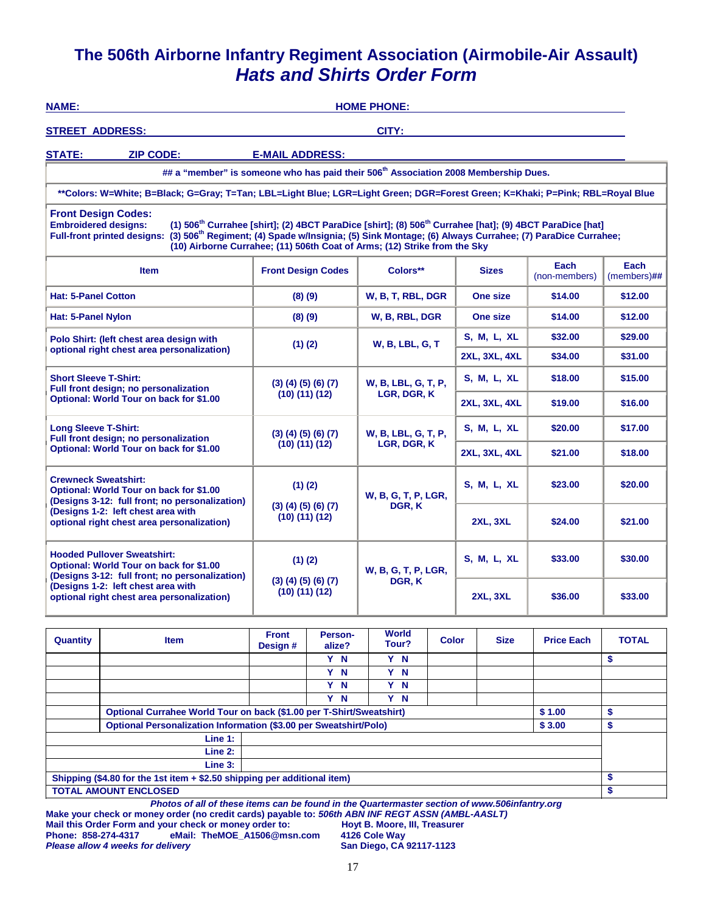## **The 506th Airborne Infantry Regiment Association (Airmobile-Air Assault)**  *Hats and Shirts Order Form*

| <b>NAME:</b>                                                                                                             |                                                                                                                                                                                                                                                                                                                                                                                                                               |                                                 |                                   |  | <b>HOME PHONE:</b>      |              |                      |                      |                       |                        |
|--------------------------------------------------------------------------------------------------------------------------|-------------------------------------------------------------------------------------------------------------------------------------------------------------------------------------------------------------------------------------------------------------------------------------------------------------------------------------------------------------------------------------------------------------------------------|-------------------------------------------------|-----------------------------------|--|-------------------------|--------------|----------------------|----------------------|-----------------------|------------------------|
| <b>STREET ADDRESS:</b>                                                                                                   |                                                                                                                                                                                                                                                                                                                                                                                                                               |                                                 |                                   |  | CITY:                   |              |                      |                      |                       |                        |
| <b>STATE:</b>                                                                                                            | <b>ZIP CODE:</b>                                                                                                                                                                                                                                                                                                                                                                                                              | <b>E-MAIL ADDRESS:</b>                          |                                   |  |                         |              |                      |                      |                       |                        |
|                                                                                                                          | ## a "member" is someone who has paid their 506 <sup>th</sup> Association 2008 Membership Dues.                                                                                                                                                                                                                                                                                                                               |                                                 |                                   |  |                         |              |                      |                      |                       |                        |
|                                                                                                                          | **Colors: W=White; B=Black; G=Gray; T=Tan; LBL=Light Blue; LGR=Light Green; DGR=Forest Green; K=Khaki; P=Pink; RBL=Royal Blue                                                                                                                                                                                                                                                                                                 |                                                 |                                   |  |                         |              |                      |                      |                       |                        |
|                                                                                                                          | <b>Front Design Codes:</b><br>(1) 506 <sup>th</sup> Currahee [shirt]; (2) 4BCT ParaDice [shirt]; (8) 506 <sup>th</sup> Currahee [hat]; (9) 4BCT ParaDice [hat]<br><b>Embroidered designs:</b><br>Full-front printed designs: (3) 506 <sup>th</sup> Regiment; (4) Spade w/Insignia; (5) Sink Montage; (6) Always Currahee; (7) ParaDice Currahee;<br>(10) Airborne Currahee; (11) 506th Coat of Arms; (12) Strike from the Sky |                                                 |                                   |  |                         |              |                      |                      |                       |                        |
|                                                                                                                          | <b>Item</b>                                                                                                                                                                                                                                                                                                                                                                                                                   |                                                 | <b>Front Design Codes</b>         |  | Colors**                |              |                      | <b>Sizes</b>         | Each<br>(non-members) | Each<br>$(members)$ ## |
| <b>Hat: 5-Panel Cotton</b>                                                                                               |                                                                                                                                                                                                                                                                                                                                                                                                                               |                                                 | (8)(9)                            |  | W, B, T, RBL, DGR       |              |                      | One size             | \$14.00               | \$12.00                |
| Hat: 5-Panel Nylon                                                                                                       |                                                                                                                                                                                                                                                                                                                                                                                                                               |                                                 | (8)(9)                            |  | W, B, RBL, DGR          |              |                      | One size             | \$14.00               | \$12.00                |
|                                                                                                                          | Polo Shirt: (left chest area design with                                                                                                                                                                                                                                                                                                                                                                                      |                                                 | $(1)$ (2)                         |  | <b>W. B. LBL. G. T.</b> |              |                      | S, M, L, XL          | \$32.00               | \$29.00                |
|                                                                                                                          | optional right chest area personalization)                                                                                                                                                                                                                                                                                                                                                                                    |                                                 |                                   |  |                         |              |                      | <b>2XL, 3XL, 4XL</b> | \$34.00               | \$31.00                |
| <b>Short Sleeve T-Shirt:</b>                                                                                             | Full front design; no personalization                                                                                                                                                                                                                                                                                                                                                                                         |                                                 | (3)(4)(5)(6)(7)                   |  | W, B, LBL, G, T, P,     |              |                      | S, M, L, XL          | \$18.00               | \$15.00                |
|                                                                                                                          | Optional: World Tour on back for \$1.00                                                                                                                                                                                                                                                                                                                                                                                       |                                                 | $(10)$ $(11)$ $(12)$              |  | LGR, DGR, K             |              | <b>2XL, 3XL, 4XL</b> |                      | \$19.00               | \$16.00                |
| <b>Long Sleeve T-Shirt:</b>                                                                                              |                                                                                                                                                                                                                                                                                                                                                                                                                               |                                                 | (3)(4)(5)(6)(7)                   |  | W, B, LBL, G, T, P,     |              |                      | S, M, L, XL          | \$20.00               | \$17.00                |
|                                                                                                                          | Full front design; no personalization<br>Optional: World Tour on back for \$1.00                                                                                                                                                                                                                                                                                                                                              |                                                 | $(10)$ $(11)$ $(12)$              |  | LGR, DGR, K             |              |                      | <b>2XL, 3XL, 4XL</b> | \$21.00               | \$18.00                |
| <b>Crewneck Sweatshirt:</b><br>Optional: World Tour on back for \$1.00<br>(Designs 3-12: full front; no personalization) |                                                                                                                                                                                                                                                                                                                                                                                                                               | $(1)$ $(2)$                                     |                                   |  | W, B, G, T, P, LGR,     |              | <b>S. M. L. XL</b>   |                      | \$23.00               | \$20.00                |
|                                                                                                                          | (Designs 1-2: left chest area with<br>optional right chest area personalization)                                                                                                                                                                                                                                                                                                                                              | $(3)$ $(4)$ $(5)$ $(6)$ $(7)$<br>(10) (11) (12) |                                   |  | DGR, K                  |              | <b>2XL, 3XL</b>      |                      | \$24.00               | \$21.00                |
|                                                                                                                          | <b>Hooded Pullover Sweatshirt:</b><br>Optional: World Tour on back for \$1.00<br>(Designs 3-12: full front; no personalization)                                                                                                                                                                                                                                                                                               |                                                 | $(1)$ $(2)$                       |  | W, B, G, T, P, LGR,     |              |                      | S, M, L, XL          | \$33.00               | \$30.00                |
|                                                                                                                          | (Designs 1-2: left chest area with<br>optional right chest area personalization)                                                                                                                                                                                                                                                                                                                                              |                                                 | (3)(4)(5)(6)(7)<br>(10) (11) (12) |  | DGR, K                  |              | <b>2XL, 3XL</b>      |                      | \$36.00               | \$33.00                |
|                                                                                                                          |                                                                                                                                                                                                                                                                                                                                                                                                                               | <b>Front</b>                                    | Person-                           |  | <b>World</b>            |              |                      |                      |                       |                        |
| Quantity                                                                                                                 | <b>Item</b>                                                                                                                                                                                                                                                                                                                                                                                                                   | Design #                                        | alize?                            |  | Tour?                   | <b>Color</b> |                      | <b>Size</b>          | <b>Price Each</b>     | <b>TOTAL</b>           |
|                                                                                                                          |                                                                                                                                                                                                                                                                                                                                                                                                                               |                                                 | Y N<br>Y N                        |  | Y N<br>Y N              |              |                      |                      |                       | \$                     |
|                                                                                                                          |                                                                                                                                                                                                                                                                                                                                                                                                                               |                                                 | Y N                               |  | Y N                     |              |                      |                      |                       |                        |
|                                                                                                                          |                                                                                                                                                                                                                                                                                                                                                                                                                               |                                                 | Y N                               |  | Y N                     |              |                      |                      |                       |                        |
|                                                                                                                          | Optional Currahee World Tour on back (\$1.00 per T-Shirt/Sweatshirt)                                                                                                                                                                                                                                                                                                                                                          |                                                 |                                   |  |                         |              |                      |                      | \$1.00                | \$                     |
|                                                                                                                          | Optional Personalization Information (\$3.00 per Sweatshirt/Polo)                                                                                                                                                                                                                                                                                                                                                             |                                                 |                                   |  |                         |              |                      |                      | \$3.00                | \$                     |
|                                                                                                                          | Line 1:                                                                                                                                                                                                                                                                                                                                                                                                                       |                                                 |                                   |  |                         |              |                      |                      |                       |                        |
|                                                                                                                          | Line 2:                                                                                                                                                                                                                                                                                                                                                                                                                       |                                                 |                                   |  |                         |              |                      |                      |                       |                        |
|                                                                                                                          | Line 3:                                                                                                                                                                                                                                                                                                                                                                                                                       |                                                 |                                   |  |                         |              |                      |                      |                       |                        |
|                                                                                                                          | Shipping (\$4.80 for the 1st item + \$2.50 shipping per additional item)                                                                                                                                                                                                                                                                                                                                                      |                                                 |                                   |  |                         |              |                      |                      |                       | \$                     |
|                                                                                                                          | <b>TOTAL AMOUNT ENCLOSED</b>                                                                                                                                                                                                                                                                                                                                                                                                  |                                                 |                                   |  |                         |              |                      |                      |                       | \$                     |

*Photos of all of these items can be found in the Quartermaster section of www.506infantry.org*  **Make your check or money order (no credit cards) payable to:** *506th ABN INF REGT ASSN (AMBL-AASLT)* 

Mail this Order Form and your check or money order to: **Hoyt B. Moore,**<br>Phone: 858-274-4317 eMail: TheMOE\_A1506@msn.com 4126 Cole Way **Phone: 858-274-4317 eMail: TheMOE\_A1506@msn.com 4126 Cole Way Please allow 4 weeks for delivery**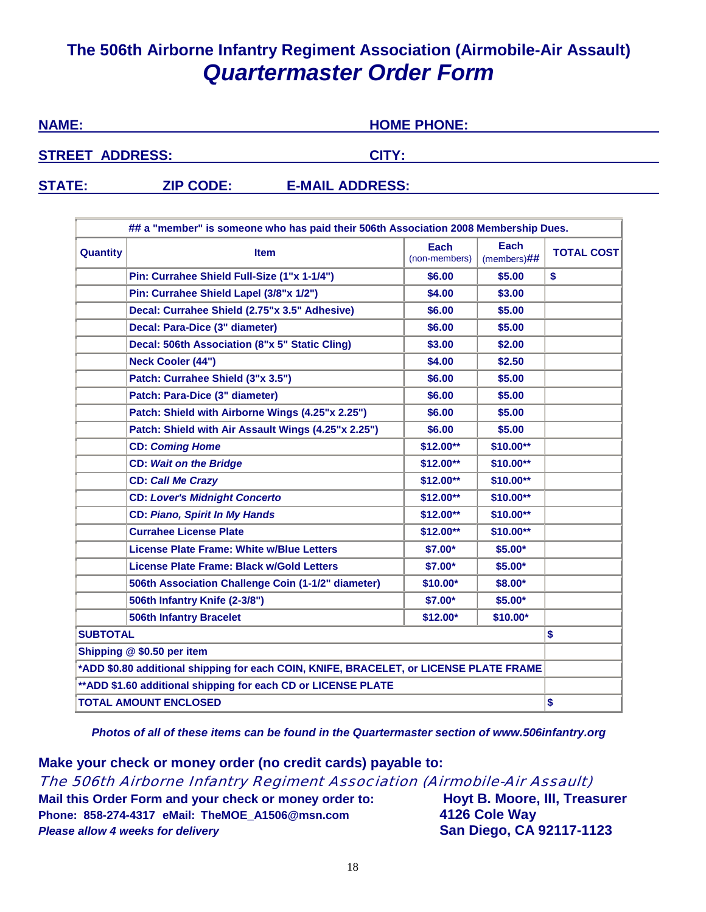# **The 506th Airborne Infantry Regiment Association (Airmobile-Air Assault)** *Quartermaster Order Form*

| <b>NAME:</b>           |                  | <b>HOME PHONE:</b>     |  |
|------------------------|------------------|------------------------|--|
| <b>STREET ADDRESS:</b> |                  | CITY:                  |  |
| <b>STATE:</b>          | <b>ZIP CODE:</b> | <b>E-MAIL ADDRESS:</b> |  |

| ## a "member" is someone who has paid their 506th Association 2008 Membership Dues. |                                                                                        |                              |                               |                   |  |  |
|-------------------------------------------------------------------------------------|----------------------------------------------------------------------------------------|------------------------------|-------------------------------|-------------------|--|--|
| <b>Quantity</b>                                                                     | <b>Item</b>                                                                            | <b>Each</b><br>(non-members) | <b>Each</b><br>$(members)$ ## | <b>TOTAL COST</b> |  |  |
|                                                                                     | Pin: Currahee Shield Full-Size (1"x 1-1/4")                                            | \$6.00                       | \$5.00                        | \$                |  |  |
|                                                                                     | Pin: Currahee Shield Lapel (3/8"x 1/2")                                                | \$4.00                       | \$3.00                        |                   |  |  |
|                                                                                     | Decal: Currahee Shield (2.75"x 3.5" Adhesive)                                          | \$6.00                       | \$5.00                        |                   |  |  |
|                                                                                     | Decal: Para-Dice (3" diameter)                                                         | \$6.00                       | \$5.00                        |                   |  |  |
|                                                                                     | Decal: 506th Association (8"x 5" Static Cling)                                         | \$3.00                       | \$2.00                        |                   |  |  |
|                                                                                     | <b>Neck Cooler (44")</b>                                                               | \$4.00                       | \$2.50                        |                   |  |  |
|                                                                                     | Patch: Currahee Shield (3"x 3.5")                                                      | \$6.00                       | \$5.00                        |                   |  |  |
|                                                                                     | Patch: Para-Dice (3" diameter)                                                         | \$6.00                       | \$5.00                        |                   |  |  |
|                                                                                     | Patch: Shield with Airborne Wings (4.25"x 2.25")                                       | \$6.00                       | \$5.00                        |                   |  |  |
|                                                                                     | Patch: Shield with Air Assault Wings (4.25"x 2.25")                                    | \$6.00                       | \$5.00                        |                   |  |  |
|                                                                                     | <b>CD: Coming Home</b>                                                                 | \$12.00**                    | \$10.00**                     |                   |  |  |
|                                                                                     | <b>CD: Wait on the Bridge</b>                                                          | \$12.00**                    | \$10.00**                     |                   |  |  |
|                                                                                     | <b>CD: Call Me Crazy</b>                                                               | $$12.00**$                   | \$10.00**                     |                   |  |  |
|                                                                                     | <b>CD: Lover's Midnight Concerto</b>                                                   | \$12.00**                    | \$10.00**                     |                   |  |  |
|                                                                                     | <b>CD: Piano, Spirit In My Hands</b>                                                   | $$12.00**$                   | $$10.00**$                    |                   |  |  |
|                                                                                     | <b>Currahee License Plate</b>                                                          | \$12.00**                    | $$10.00**$                    |                   |  |  |
|                                                                                     | <b>License Plate Frame: White w/Blue Letters</b>                                       | \$7.00*                      | $$5.00*$                      |                   |  |  |
|                                                                                     | License Plate Frame: Black w/Gold Letters                                              | \$7.00*                      | $$5.00*$                      |                   |  |  |
|                                                                                     | 506th Association Challenge Coin (1-1/2" diameter)                                     | $$10.00*$                    | \$8.00*                       |                   |  |  |
|                                                                                     | 506th Infantry Knife (2-3/8")                                                          | \$7.00*                      | \$5.00*                       |                   |  |  |
|                                                                                     | <b>506th Infantry Bracelet</b>                                                         | $$12.00*$                    | $$10.00*$                     |                   |  |  |
| <b>SUBTOTAL</b>                                                                     |                                                                                        |                              |                               | \$                |  |  |
|                                                                                     | Shipping @ \$0.50 per item                                                             |                              |                               |                   |  |  |
|                                                                                     | *ADD \$0.80 additional shipping for each COIN, KNIFE, BRACELET, or LICENSE PLATE FRAME |                              |                               |                   |  |  |
| ** ADD \$1.60 additional shipping for each CD or LICENSE PLATE                      |                                                                                        |                              |                               |                   |  |  |
|                                                                                     | <b>TOTAL AMOUNT ENCLOSED</b>                                                           |                              |                               | \$                |  |  |

*Photos of all of these items can be found in the Quartermaster section of www.506infantry.org* 

**Make your check or money order (no credit cards) payable to:** The 506th Airborne Infantry Regiment Association (Airmobile-Air Assault) **Mail this Order Form and your check or money order to: Hoyt B. Moore, III, Treasurer Phone: 858-274-4317 eMail: TheMOE\_A1506@msn.com 4126 Cole Way** *Please allow 4 weeks for delivery* **San Diego, CA 92117-1123**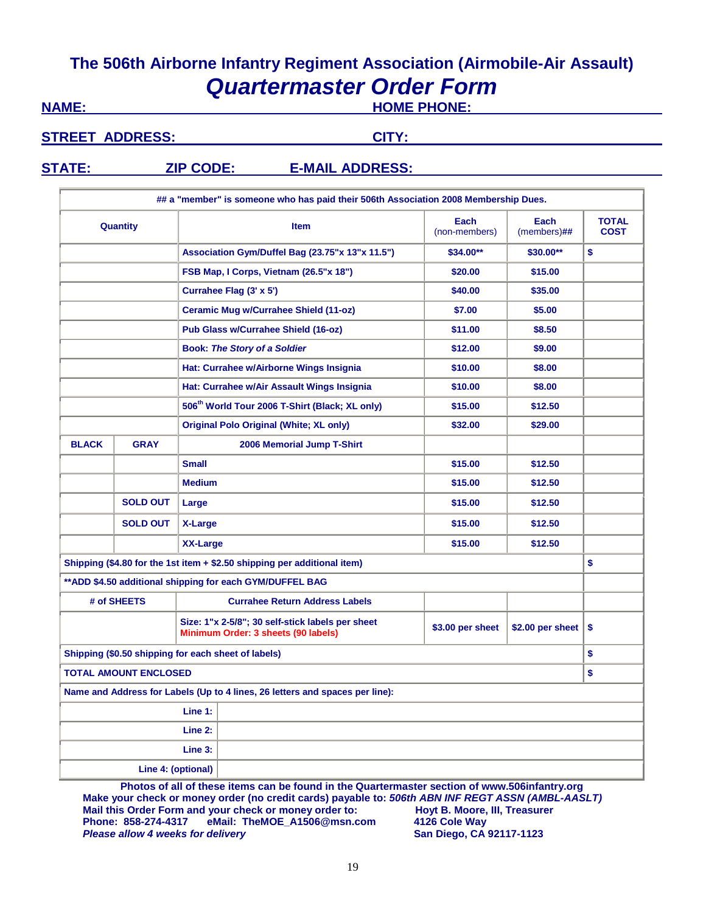# **The 506th Airborne Infantry Regiment Association (Airmobile-Air Assault)**  *Quartermaster Order Form*

**NAME: NAME: HOME PHONE:** 

STREET ADDRESS: CITY:

## **STATE: ZIP CODE: E-MAIL ADDRESS:**

|                              |                                        |                    | ## a "member" is someone who has paid their 506th Association 2008 Membership Dues.     |                        |                             |    |
|------------------------------|----------------------------------------|--------------------|-----------------------------------------------------------------------------------------|------------------------|-----------------------------|----|
| Quantity                     |                                        |                    | <b>Item</b>                                                                             | Each<br>$(members)$ ## | <b>TOTAL</b><br><b>COST</b> |    |
|                              |                                        |                    | Association Gym/Duffel Bag (23.75"x 13"x 11.5")                                         | \$34.00**              | \$30.00**                   | \$ |
|                              | FSB Map, I Corps, Vietnam (26.5"x 18") |                    |                                                                                         | \$20.00                | \$15.00                     |    |
| Currahee Flag (3' x 5')      |                                        |                    |                                                                                         | \$40.00                | \$35.00                     |    |
|                              |                                        |                    | <b>Ceramic Mug w/Currahee Shield (11-oz)</b>                                            | \$7.00                 | \$5.00                      |    |
|                              |                                        |                    | Pub Glass w/Currahee Shield (16-oz)                                                     | \$11.00                | \$8.50                      |    |
|                              |                                        |                    | <b>Book: The Story of a Soldier</b>                                                     | \$12.00                | \$9.00                      |    |
|                              |                                        |                    | Hat: Currahee w/Airborne Wings Insignia                                                 | \$10.00                | \$8.00                      |    |
|                              |                                        |                    | Hat: Currahee w/Air Assault Wings Insignia                                              | \$10.00                | \$8.00                      |    |
|                              |                                        |                    | 506 <sup>th</sup> World Tour 2006 T-Shirt (Black; XL only)                              | \$15.00                | \$12.50                     |    |
|                              |                                        |                    | <b>Original Polo Original (White; XL only)</b>                                          | \$32.00                | \$29.00                     |    |
| <b>BLACK</b>                 | <b>GRAY</b>                            |                    | 2006 Memorial Jump T-Shirt                                                              |                        |                             |    |
|                              |                                        | <b>Small</b>       |                                                                                         | \$15.00                | \$12.50<br>\$12.50          |    |
|                              |                                        | <b>Medium</b>      |                                                                                         | \$15.00                |                             |    |
|                              | <b>SOLD OUT</b>                        | Large              |                                                                                         | \$15.00                | \$12.50                     |    |
|                              | <b>SOLD OUT</b>                        | X-Large            |                                                                                         | \$15.00                | \$12.50                     |    |
|                              |                                        | <b>XX-Large</b>    |                                                                                         | \$15.00                | \$12.50                     |    |
|                              |                                        |                    | Shipping (\$4.80 for the 1st item $+$ \$2.50 shipping per additional item)              |                        |                             | \$ |
|                              |                                        |                    | ** ADD \$4.50 additional shipping for each GYM/DUFFEL BAG                               |                        |                             |    |
|                              | # of SHEETS                            |                    | <b>Currahee Return Address Labels</b>                                                   |                        |                             |    |
|                              |                                        |                    | Size: 1"x 2-5/8"; 30 self-stick labels per sheet<br>Minimum Order: 3 sheets (90 labels) | \$3.00 per sheet       | \$2.00 per sheet $ $        | \$ |
|                              |                                        |                    | Shipping (\$0.50 shipping for each sheet of labels)                                     |                        |                             | \$ |
| <b>TOTAL AMOUNT ENCLOSED</b> |                                        |                    |                                                                                         |                        |                             | \$ |
|                              |                                        |                    | Name and Address for Labels (Up to 4 lines, 26 letters and spaces per line):            |                        |                             |    |
| Line 1:                      |                                        |                    |                                                                                         |                        |                             |    |
|                              |                                        | Line 2:            |                                                                                         |                        |                             |    |
|                              |                                        | Line 3:            |                                                                                         |                        |                             |    |
|                              |                                        | Line 4: (optional) |                                                                                         |                        |                             |    |

**Photos of all of these items can be found in the Quartermaster section of www.506infantry.org Make your check or money order (no credit cards) payable to:** *506th ABN INF REGT ASSN (AMBL-AASLT)*  **Mail this Order Form and your check or money order to: hoyt B. Moore,<br>
Phone: 858-274-4317 eMail: TheMOE\_A1506@msn.com 4126 Cole Way Phone: 858-274-4317 eMail: TheMOE\_A1506@msn.com 4126 Cole Way Please allow 4 weeks for delivery**